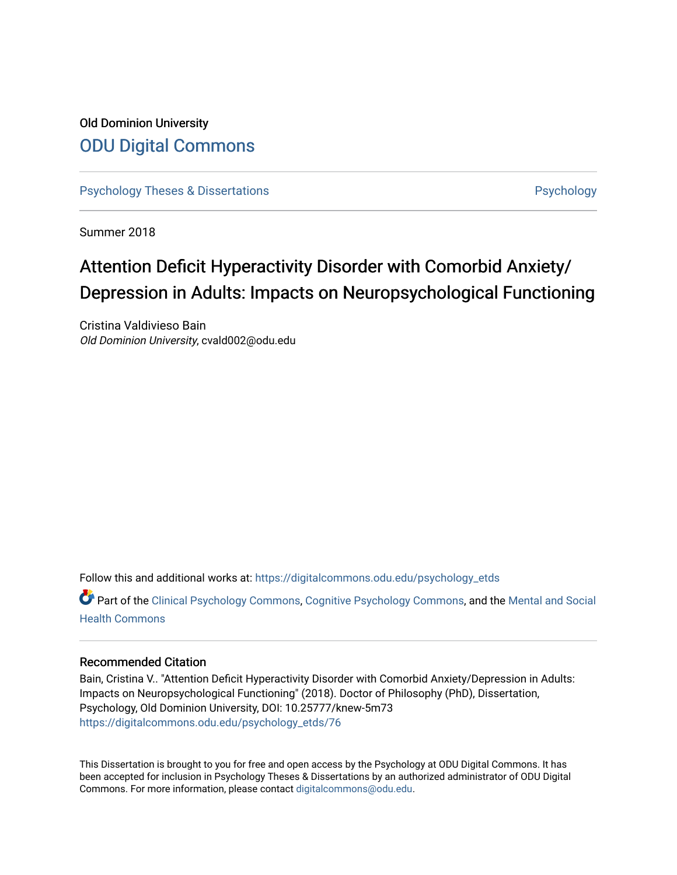# Old Dominion University [ODU Digital Commons](https://digitalcommons.odu.edu/)

[Psychology Theses & Dissertations](https://digitalcommons.odu.edu/psychology_etds) **Psychology** [Psychology](https://digitalcommons.odu.edu/psychology) **Psychology** 

Summer 2018

# Attention Deficit Hyperactivity Disorder with Comorbid Anxiety/ Depression in Adults: Impacts on Neuropsychological Functioning

Cristina Valdivieso Bain Old Dominion University, cvald002@odu.edu

Follow this and additional works at: [https://digitalcommons.odu.edu/psychology\\_etds](https://digitalcommons.odu.edu/psychology_etds?utm_source=digitalcommons.odu.edu%2Fpsychology_etds%2F76&utm_medium=PDF&utm_campaign=PDFCoverPages)

Part of the [Clinical Psychology Commons,](http://network.bepress.com/hgg/discipline/406?utm_source=digitalcommons.odu.edu%2Fpsychology_etds%2F76&utm_medium=PDF&utm_campaign=PDFCoverPages) [Cognitive Psychology Commons,](http://network.bepress.com/hgg/discipline/408?utm_source=digitalcommons.odu.edu%2Fpsychology_etds%2F76&utm_medium=PDF&utm_campaign=PDFCoverPages) and the [Mental and Social](http://network.bepress.com/hgg/discipline/709?utm_source=digitalcommons.odu.edu%2Fpsychology_etds%2F76&utm_medium=PDF&utm_campaign=PDFCoverPages) [Health Commons](http://network.bepress.com/hgg/discipline/709?utm_source=digitalcommons.odu.edu%2Fpsychology_etds%2F76&utm_medium=PDF&utm_campaign=PDFCoverPages) 

### Recommended Citation

Bain, Cristina V.. "Attention Deficit Hyperactivity Disorder with Comorbid Anxiety/Depression in Adults: Impacts on Neuropsychological Functioning" (2018). Doctor of Philosophy (PhD), Dissertation, Psychology, Old Dominion University, DOI: 10.25777/knew-5m73 [https://digitalcommons.odu.edu/psychology\\_etds/76](https://digitalcommons.odu.edu/psychology_etds/76?utm_source=digitalcommons.odu.edu%2Fpsychology_etds%2F76&utm_medium=PDF&utm_campaign=PDFCoverPages) 

This Dissertation is brought to you for free and open access by the Psychology at ODU Digital Commons. It has been accepted for inclusion in Psychology Theses & Dissertations by an authorized administrator of ODU Digital Commons. For more information, please contact [digitalcommons@odu.edu](mailto:digitalcommons@odu.edu).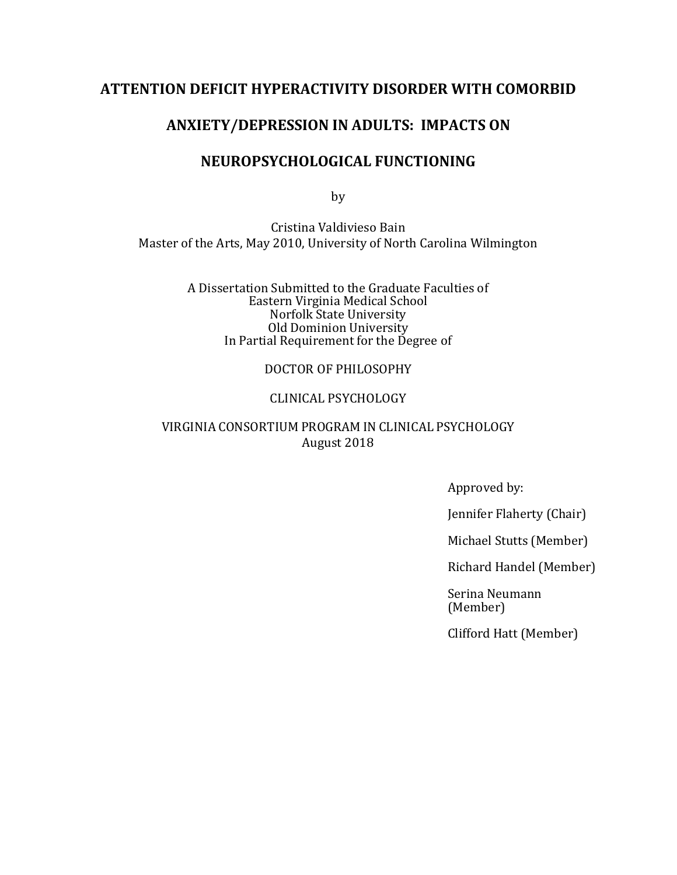# **ATTENTION DEFICIT HYPERACTIVITY DISORDER WITH COMORBID**

# **ANXIETY/DEPRESSION IN ADULTS: IMPACTS ON**

# **NEUROPSYCHOLOGICAL FUNCTIONING**

by

Cristina Valdivieso Bain Master of the Arts, May 2010, University of North Carolina Wilmington

> A Dissertation Submitted to the Graduate Faculties of Eastern Virginia Medical School Norfolk State University Old Dominion University In Partial Requirement for the Degree of

## DOCTOR OF PHILOSOPHY

## CLINICAL PSYCHOLOGY

## VIRGINIA CONSORTIUM PROGRAM IN CLINICAL PSYCHOLOGY August 2018

Approved by:

Jennifer Flaherty (Chair)

Michael Stutts (Member)

Richard Handel (Member)

Serina Neumann (Member)

Clifford Hatt (Member)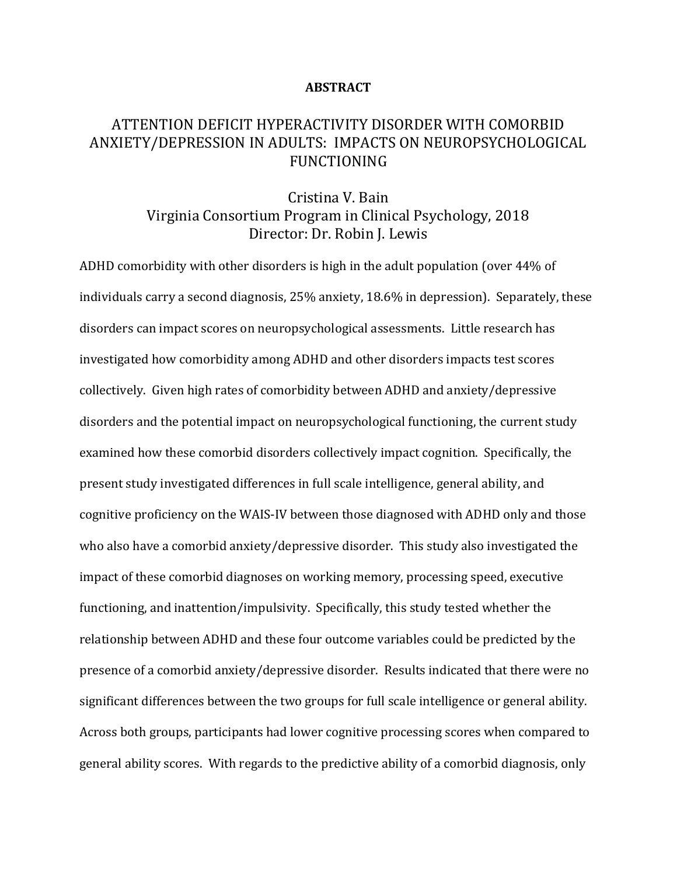### **ABSTRACT**

# ATTENTION DEFICIT HYPERACTIVITY DISORDER WITH COMORBID ANXIETY/DEPRESSION IN ADULTS: IMPACTS ON NEUROPSYCHOLOGICAL FUNCTIONING

# Cristina V. Bain Virginia Consortium Program in Clinical Psychology, 2018 Director: Dr. Robin J. Lewis

ADHD comorbidity with other disorders is high in the adult population (over 44% of individuals carry a second diagnosis, 25% anxiety, 18.6% in depression). Separately, these disorders can impact scores on neuropsychological assessments. Little research has investigated how comorbidity among ADHD and other disorders impacts test scores collectively. Given high rates of comorbidity between ADHD and anxiety/depressive disorders and the potential impact on neuropsychological functioning, the current study examined how these comorbid disorders collectively impact cognition. Specifically, the present study investigated differences in full scale intelligence, general ability, and cognitive proficiency on the WAIS-IV between those diagnosed with ADHD only and those who also have a comorbid anxiety/depressive disorder. This study also investigated the impact of these comorbid diagnoses on working memory, processing speed, executive functioning, and inattention/impulsivity. Specifically, this study tested whether the relationship between ADHD and these four outcome variables could be predicted by the presence of a comorbid anxiety/depressive disorder. Results indicated that there were no significant differences between the two groups for full scale intelligence or general ability. Across both groups, participants had lower cognitive processing scores when compared to general ability scores. With regards to the predictive ability of a comorbid diagnosis, only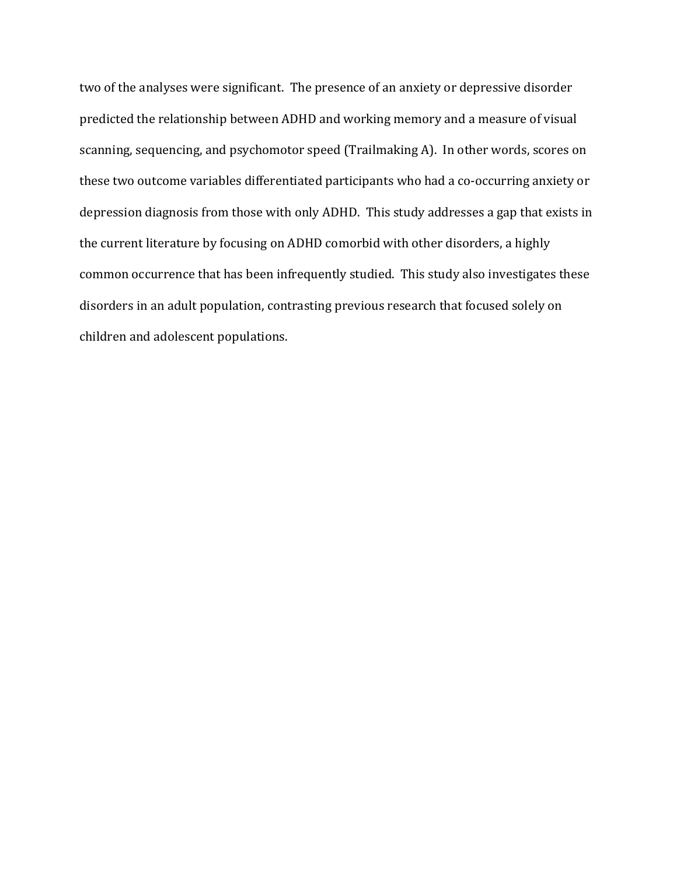two of the analyses were significant. The presence of an anxiety or depressive disorder predicted the relationship between ADHD and working memory and a measure of visual scanning, sequencing, and psychomotor speed (Trailmaking A). In other words, scores on these two outcome variables differentiated participants who had a co-occurring anxiety or depression diagnosis from those with only ADHD. This study addresses a gap that exists in the current literature by focusing on ADHD comorbid with other disorders, a highly common occurrence that has been infrequently studied. This study also investigates these disorders in an adult population, contrasting previous research that focused solely on children and adolescent populations.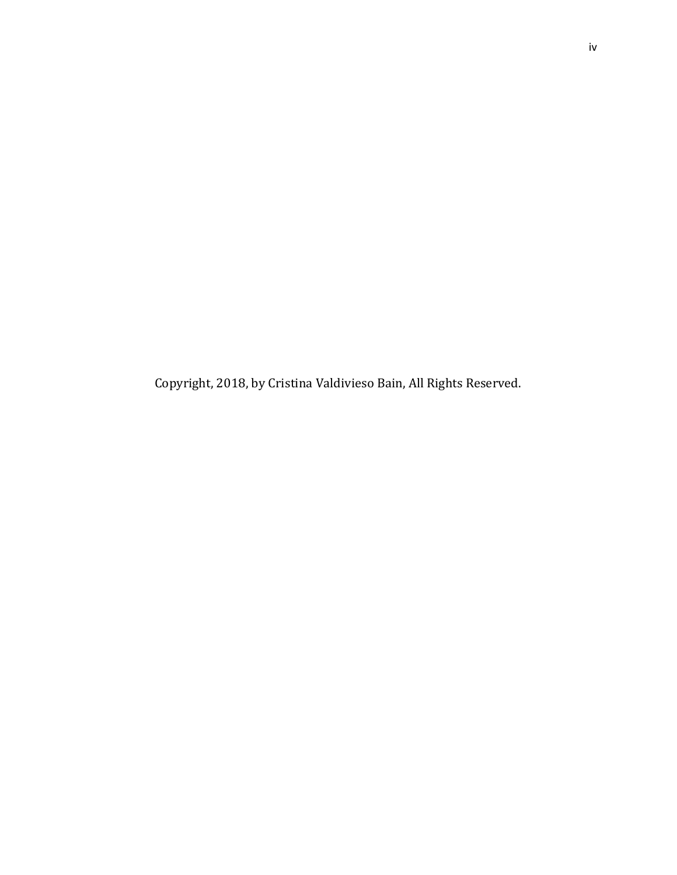Copyright, 2018, by Cristina Valdivieso Bain, All Rights Reserved.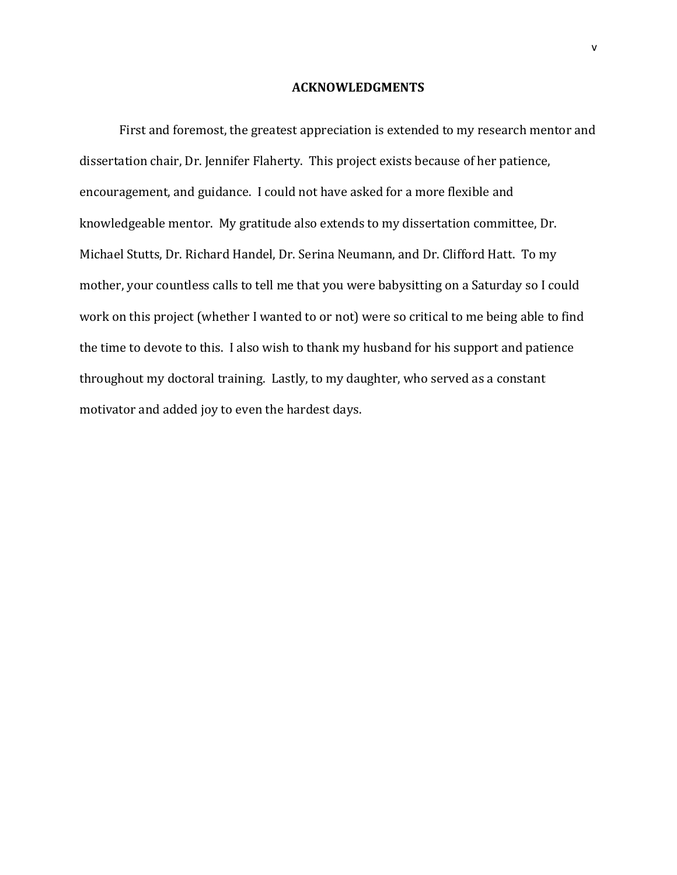### **ACKNOWLEDGMENTS**

First and foremost, the greatest appreciation is extended to my research mentor and dissertation chair, Dr. Jennifer Flaherty. This project exists because of her patience, encouragement, and guidance. I could not have asked for a more flexible and knowledgeable mentor. My gratitude also extends to my dissertation committee, Dr. Michael Stutts, Dr. Richard Handel, Dr. Serina Neumann, and Dr. Clifford Hatt. To my mother, your countless calls to tell me that you were babysitting on a Saturday so I could work on this project (whether I wanted to or not) were so critical to me being able to find the time to devote to this. I also wish to thank my husband for his support and patience throughout my doctoral training. Lastly, to my daughter, who served as a constant motivator and added joy to even the hardest days.

v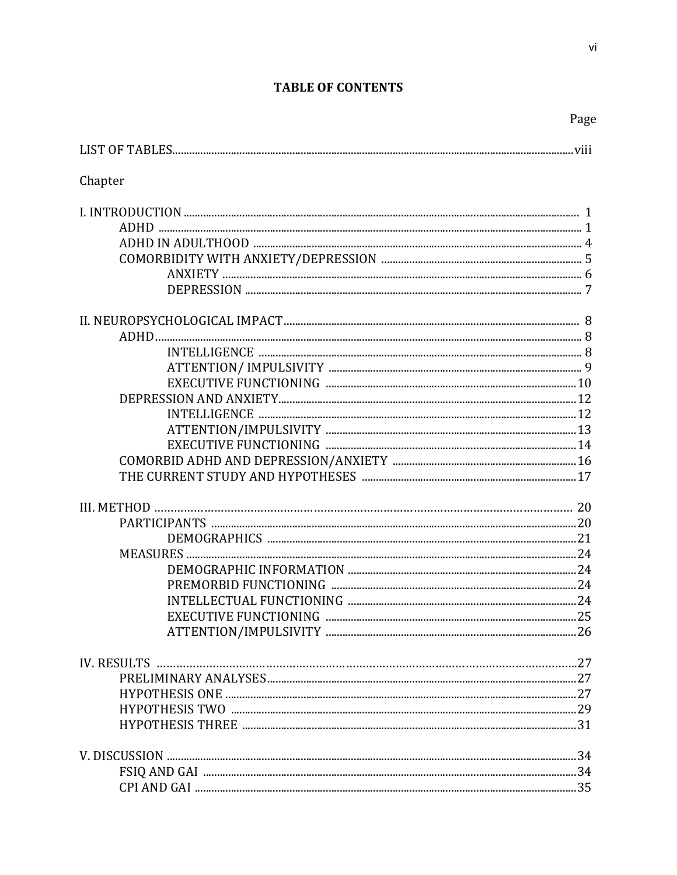# **TABLE OF CONTENTS**

Page

| Chapter |  |
|---------|--|
|         |  |
|         |  |
|         |  |
|         |  |
|         |  |
|         |  |
|         |  |
|         |  |
|         |  |
|         |  |
|         |  |
|         |  |
|         |  |
|         |  |
|         |  |
|         |  |
|         |  |
|         |  |
|         |  |
|         |  |
|         |  |
|         |  |
|         |  |
|         |  |
|         |  |
|         |  |
|         |  |
|         |  |
|         |  |
|         |  |
|         |  |
|         |  |
|         |  |
|         |  |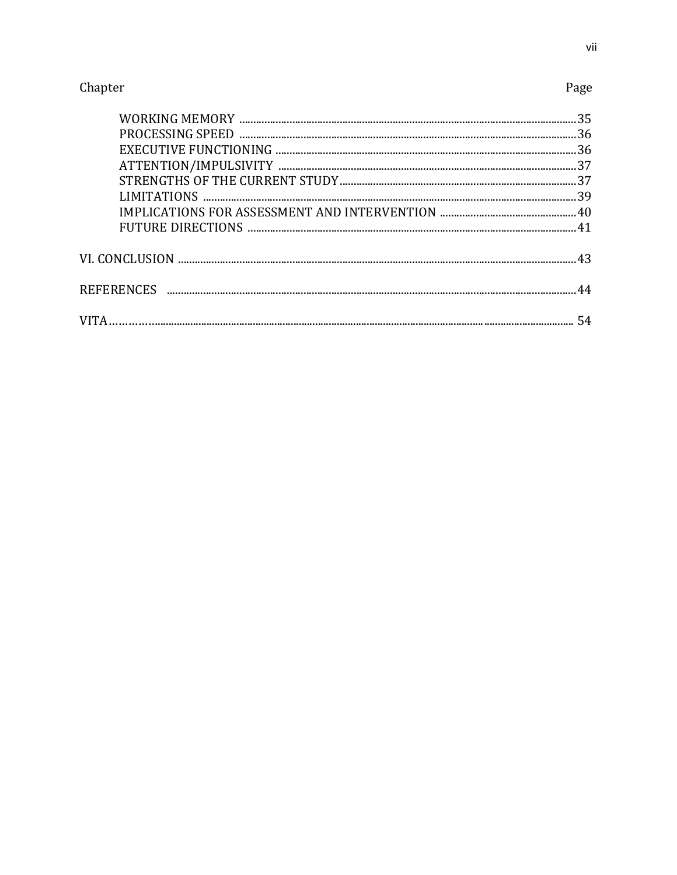# Page

|  | 36 |
|--|----|
|  | 36 |
|  |    |
|  |    |
|  |    |
|  |    |
|  |    |
|  |    |
|  |    |
|  |    |
|  |    |
|  |    |
|  |    |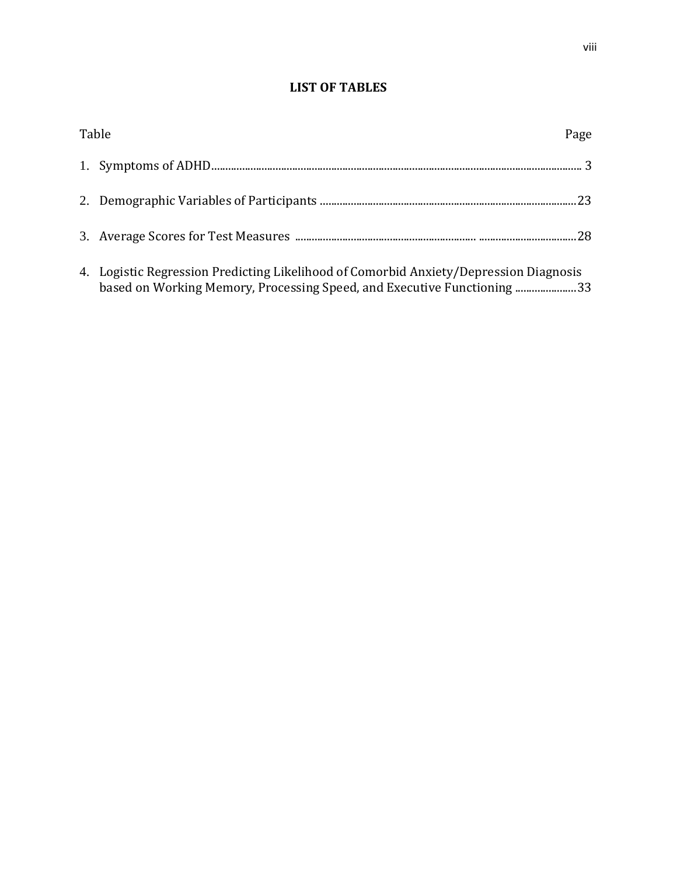# **LIST OF TABLES**

| Table                                                                                                                                                            | Page |
|------------------------------------------------------------------------------------------------------------------------------------------------------------------|------|
|                                                                                                                                                                  |      |
|                                                                                                                                                                  |      |
|                                                                                                                                                                  |      |
| 4. Logistic Regression Predicting Likelihood of Comorbid Anxiety/Depression Diagnosis<br>based on Working Memory, Processing Speed, and Executive Functioning 33 |      |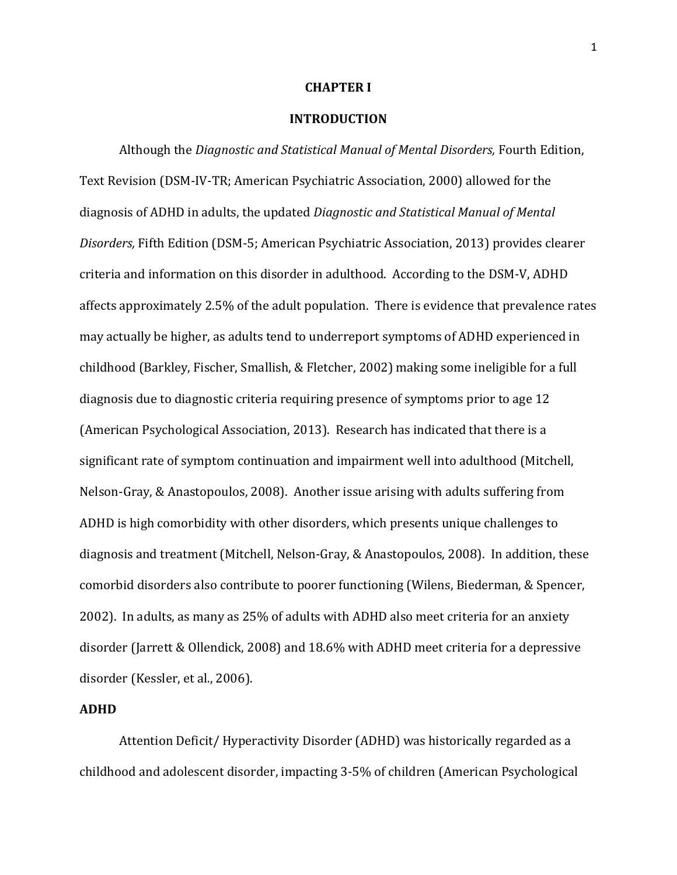### **CHAPTER I**

### **INTRODUCTION**

Although the *Diagnostic and Statistical Manual of Mental Disorders,* Fourth Edition, Text Revision (DSM-IV-TR; American Psychiatric Association, 2000) allowed for the diagnosis of ADHD in adults, the updated *Diagnostic and Statistical Manual of Mental Disorders,* Fifth Edition (DSM-5; American Psychiatric Association, 2013) provides clearer criteria and information on this disorder in adulthood. According to the DSM-V, ADHD affects approximately 2.5% of the adult population. There is evidence that prevalence rates may actually be higher, as adults tend to underreport symptoms of ADHD experienced in childhood (Barkley, Fischer, Smallish, & Fletcher, 2002) making some ineligible for a full diagnosis due to diagnostic criteria requiring presence of symptoms prior to age 12 (American Psychological Association, 2013). Research has indicated that there is a significant rate of symptom continuation and impairment well into adulthood (Mitchell, Nelson-Gray, & Anastopoulos, 2008). Another issue arising with adults suffering from ADHD is high comorbidity with other disorders, which presents unique challenges to diagnosis and treatment (Mitchell, Nelson-Gray, & Anastopoulos, 2008). In addition, these comorbid disorders also contribute to poorer functioning (Wilens, Biederman, & Spencer, 2002). In adults, as many as 25% of adults with ADHD also meet criteria for an anxiety disorder (Jarrett & Ollendick, 2008) and 18.6% with ADHD meet criteria for a depressive disorder (Kessler, et al., 2006).

### **ADHD**

Attention Deficit/ Hyperactivity Disorder (ADHD) was historically regarded as a childhood and adolescent disorder, impacting 3-5% of children (American Psychological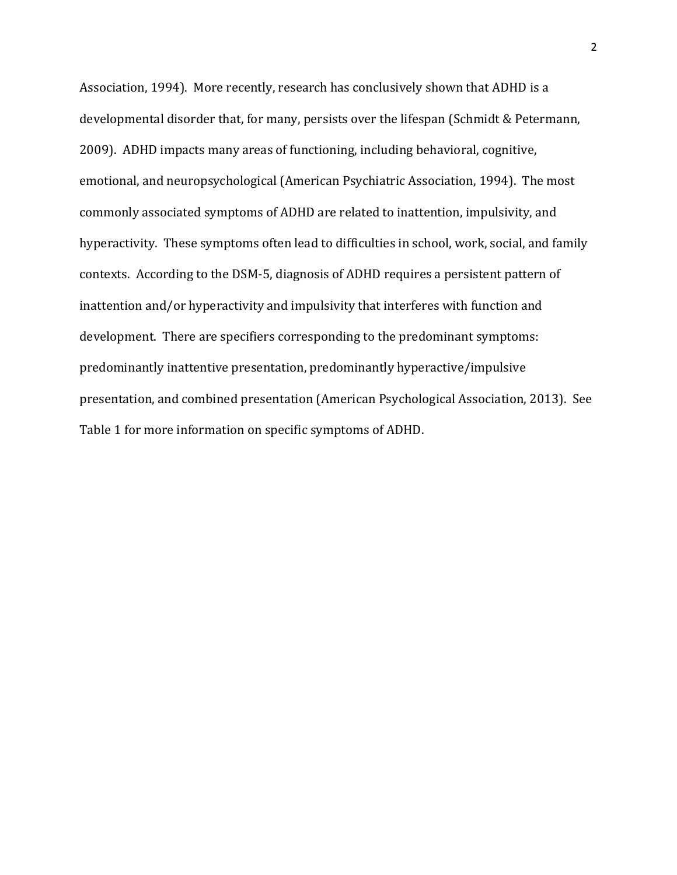Association, 1994). More recently, research has conclusively shown that ADHD is a developmental disorder that, for many, persists over the lifespan (Schmidt & Petermann, 2009). ADHD impacts many areas of functioning, including behavioral, cognitive, emotional, and neuropsychological (American Psychiatric Association, 1994). The most commonly associated symptoms of ADHD are related to inattention, impulsivity, and hyperactivity. These symptoms often lead to difficulties in school, work, social, and family contexts. According to the DSM-5, diagnosis of ADHD requires a persistent pattern of inattention and/or hyperactivity and impulsivity that interferes with function and development. There are specifiers corresponding to the predominant symptoms: predominantly inattentive presentation, predominantly hyperactive/impulsive presentation, and combined presentation (American Psychological Association, 2013). See Table 1 for more information on specific symptoms of ADHD.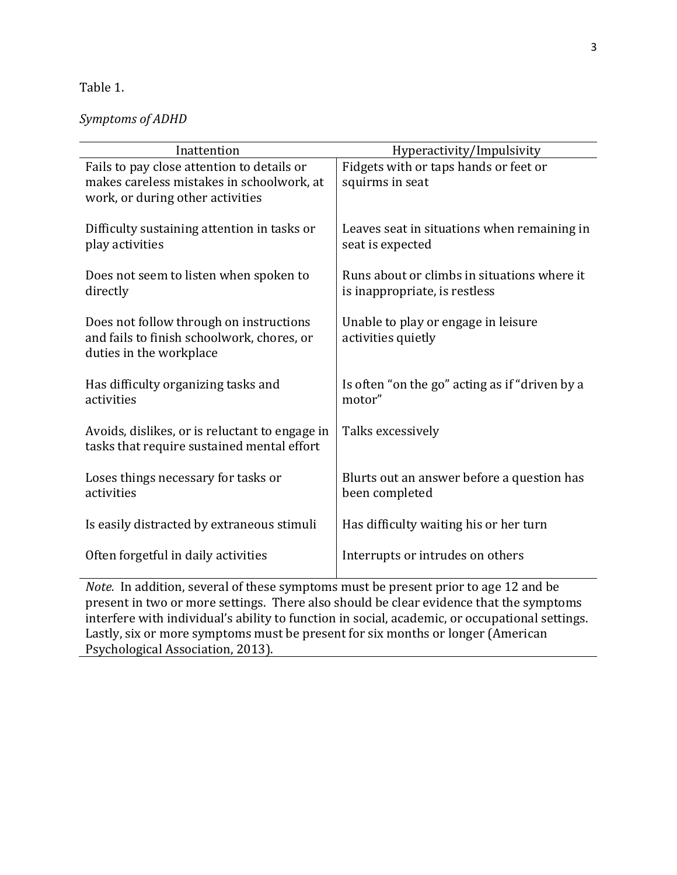# Table 1.

# *Symptoms of ADHD*

| Inattention                                                                                | Hyperactivity/Impulsivity                                    |  |  |  |
|--------------------------------------------------------------------------------------------|--------------------------------------------------------------|--|--|--|
| Fails to pay close attention to details or                                                 | Fidgets with or taps hands or feet or                        |  |  |  |
| makes careless mistakes in schoolwork, at                                                  | squirms in seat                                              |  |  |  |
| work, or during other activities                                                           |                                                              |  |  |  |
|                                                                                            |                                                              |  |  |  |
| Difficulty sustaining attention in tasks or                                                | Leaves seat in situations when remaining in                  |  |  |  |
| play activities                                                                            | seat is expected                                             |  |  |  |
| Does not seem to listen when spoken to                                                     | Runs about or climbs in situations where it                  |  |  |  |
| directly                                                                                   | is inappropriate, is restless                                |  |  |  |
|                                                                                            |                                                              |  |  |  |
| Does not follow through on instructions                                                    | Unable to play or engage in leisure                          |  |  |  |
| and fails to finish schoolwork, chores, or                                                 | activities quietly                                           |  |  |  |
| duties in the workplace                                                                    |                                                              |  |  |  |
|                                                                                            |                                                              |  |  |  |
| Has difficulty organizing tasks and                                                        | Is often "on the go" acting as if "driven by a               |  |  |  |
| activities                                                                                 | motor"                                                       |  |  |  |
|                                                                                            |                                                              |  |  |  |
| Avoids, dislikes, or is reluctant to engage in                                             | Talks excessively                                            |  |  |  |
| tasks that require sustained mental effort                                                 |                                                              |  |  |  |
|                                                                                            |                                                              |  |  |  |
| Loses things necessary for tasks or<br>activities                                          | Blurts out an answer before a question has<br>been completed |  |  |  |
|                                                                                            |                                                              |  |  |  |
| Is easily distracted by extraneous stimuli                                                 | Has difficulty waiting his or her turn                       |  |  |  |
|                                                                                            |                                                              |  |  |  |
| Often forgetful in daily activities                                                        | Interrupts or intrudes on others                             |  |  |  |
|                                                                                            |                                                              |  |  |  |
| <i>Note.</i> In addition, several of these symptoms must be present prior to age 12 and be |                                                              |  |  |  |
| present in two or more settings. There also should be clear evidence that the symptoms     |                                                              |  |  |  |

present in two or more settings. There also should be clear evidence that the symptoms interfere with individual's ability to function in social, academic, or occupational settings. Lastly, six or more symptoms must be present for six months or longer (American Psychological Association, 2013).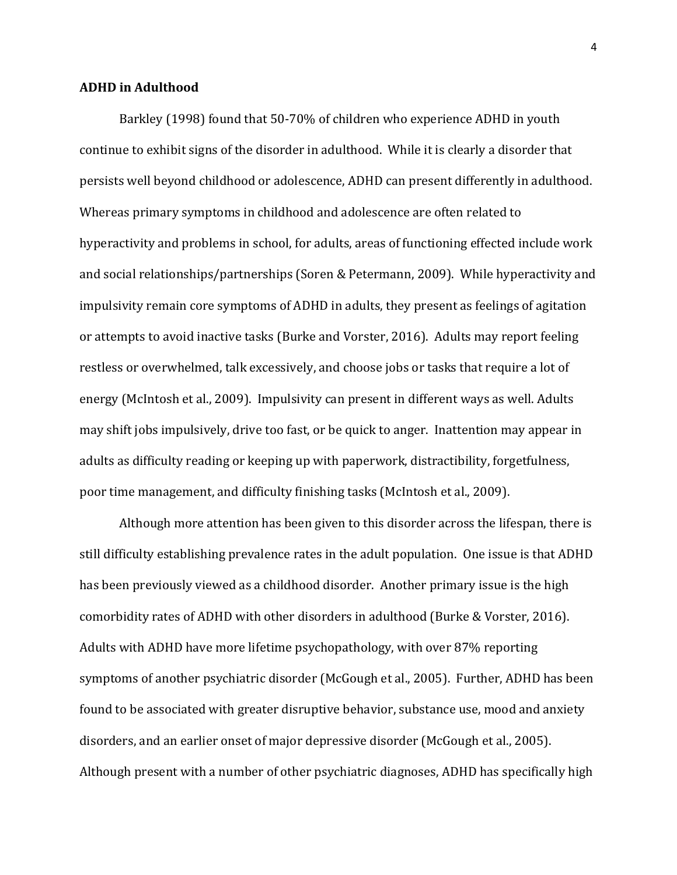### **ADHD in Adulthood**

Barkley (1998) found that 50-70% of children who experience ADHD in youth continue to exhibit signs of the disorder in adulthood. While it is clearly a disorder that persists well beyond childhood or adolescence, ADHD can present differently in adulthood. Whereas primary symptoms in childhood and adolescence are often related to hyperactivity and problems in school, for adults, areas of functioning effected include work and social relationships/partnerships (Soren & Petermann, 2009). While hyperactivity and impulsivity remain core symptoms of ADHD in adults, they present as feelings of agitation or attempts to avoid inactive tasks (Burke and Vorster, 2016). Adults may report feeling restless or overwhelmed, talk excessively, and choose jobs or tasks that require a lot of energy (McIntosh et al., 2009). Impulsivity can present in different ways as well. Adults may shift jobs impulsively, drive too fast, or be quick to anger. Inattention may appear in adults as difficulty reading or keeping up with paperwork, distractibility, forgetfulness, poor time management, and difficulty finishing tasks (McIntosh et al., 2009).

Although more attention has been given to this disorder across the lifespan, there is still difficulty establishing prevalence rates in the adult population. One issue is that ADHD has been previously viewed as a childhood disorder. Another primary issue is the high comorbidity rates of ADHD with other disorders in adulthood (Burke & Vorster, 2016). Adults with ADHD have more lifetime psychopathology, with over 87% reporting symptoms of another psychiatric disorder (McGough et al., 2005). Further, ADHD has been found to be associated with greater disruptive behavior, substance use, mood and anxiety disorders, and an earlier onset of major depressive disorder (McGough et al., 2005). Although present with a number of other psychiatric diagnoses, ADHD has specifically high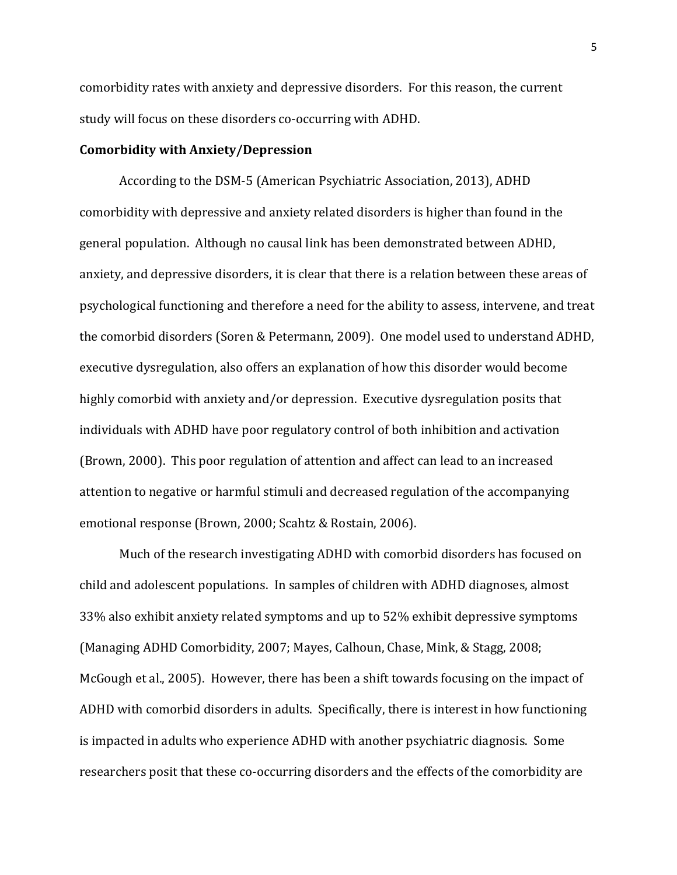comorbidity rates with anxiety and depressive disorders. For this reason, the current study will focus on these disorders co-occurring with ADHD.

### **Comorbidity with Anxiety/Depression**

According to the DSM-5 (American Psychiatric Association, 2013), ADHD comorbidity with depressive and anxiety related disorders is higher than found in the general population. Although no causal link has been demonstrated between ADHD, anxiety, and depressive disorders, it is clear that there is a relation between these areas of psychological functioning and therefore a need for the ability to assess, intervene, and treat the comorbid disorders (Soren & Petermann, 2009). One model used to understand ADHD, executive dysregulation, also offers an explanation of how this disorder would become highly comorbid with anxiety and/or depression. Executive dysregulation posits that individuals with ADHD have poor regulatory control of both inhibition and activation (Brown, 2000). This poor regulation of attention and affect can lead to an increased attention to negative or harmful stimuli and decreased regulation of the accompanying emotional response (Brown, 2000; Scahtz & Rostain, 2006).

Much of the research investigating ADHD with comorbid disorders has focused on child and adolescent populations. In samples of children with ADHD diagnoses, almost 33% also exhibit anxiety related symptoms and up to 52% exhibit depressive symptoms (Managing ADHD Comorbidity, 2007; Mayes, Calhoun, Chase, Mink, & Stagg, 2008; McGough et al., 2005). However, there has been a shift towards focusing on the impact of ADHD with comorbid disorders in adults. Specifically, there is interest in how functioning is impacted in adults who experience ADHD with another psychiatric diagnosis. Some researchers posit that these co-occurring disorders and the effects of the comorbidity are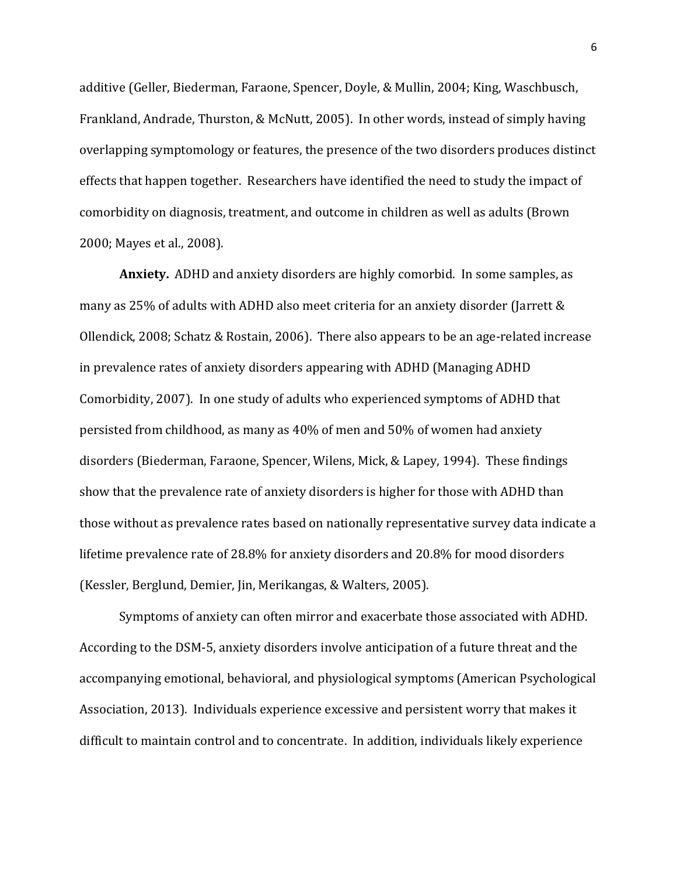additive (Geller, Biederman, Faraone, Spencer, Doyle, & Mullin, 2004; King, Waschbusch, Frankland, Andrade, Thurston, & McNutt, 2005). In other words, instead of simply having overlapping symptomology or features, the presence of the two disorders produces distinct effects that happen together. Researchers have identified the need to study the impact of comorbidity on diagnosis, treatment, and outcome in children as well as adults (Brown 2000; Mayes et al., 2008).

**Anxiety.** ADHD and anxiety disorders are highly comorbid. In some samples, as many as 25% of adults with ADHD also meet criteria for an anxiety disorder (Jarrett & Ollendick, 2008; Schatz & Rostain, 2006). There also appears to be an age-related increase in prevalence rates of anxiety disorders appearing with ADHD (Managing ADHD Comorbidity, 2007). In one study of adults who experienced symptoms of ADHD that persisted from childhood, as many as 40% of men and 50% of women had anxiety disorders (Biederman, Faraone, Spencer, Wilens, Mick, & Lapey, 1994). These findings show that the prevalence rate of anxiety disorders is higher for those with ADHD than those without as prevalence rates based on nationally representative survey data indicate a lifetime prevalence rate of 28.8% for anxiety disorders and 20.8% for mood disorders (Kessler, Berglund, Demier, Jin, Merikangas, & Walters, 2005).

Symptoms of anxiety can often mirror and exacerbate those associated with ADHD. According to the DSM-5, anxiety disorders involve anticipation of a future threat and the accompanying emotional, behavioral, and physiological symptoms (American Psychological Association, 2013). Individuals experience excessive and persistent worry that makes it difficult to maintain control and to concentrate. In addition, individuals likely experience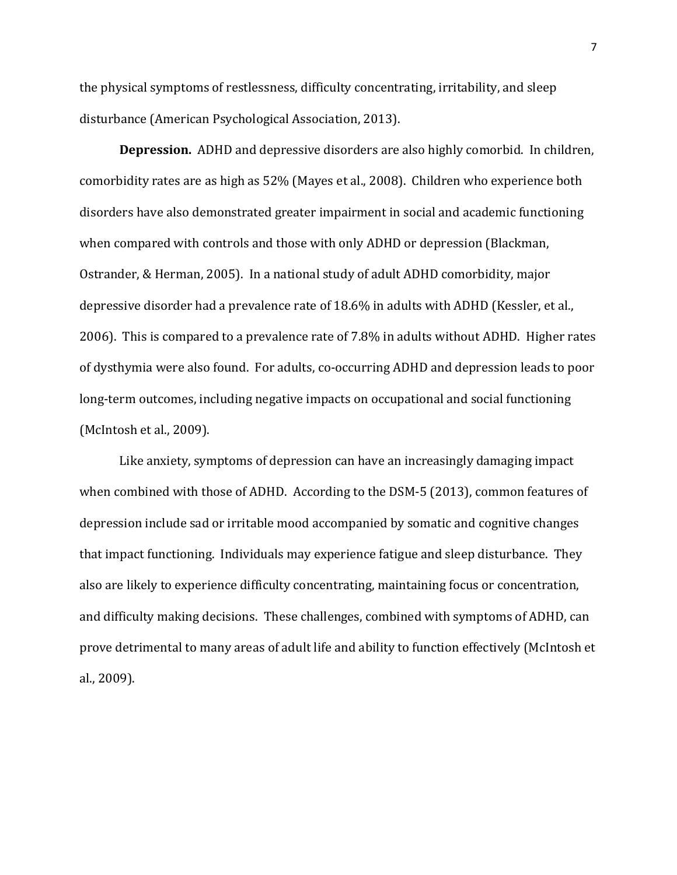the physical symptoms of restlessness, difficulty concentrating, irritability, and sleep disturbance (American Psychological Association, 2013).

**Depression.** ADHD and depressive disorders are also highly comorbid. In children, comorbidity rates are as high as 52% (Mayes et al., 2008). Children who experience both disorders have also demonstrated greater impairment in social and academic functioning when compared with controls and those with only ADHD or depression (Blackman, Ostrander, & Herman, 2005). In a national study of adult ADHD comorbidity, major depressive disorder had a prevalence rate of 18.6% in adults with ADHD (Kessler, et al., 2006). This is compared to a prevalence rate of 7.8% in adults without ADHD. Higher rates of dysthymia were also found. For adults, co-occurring ADHD and depression leads to poor long-term outcomes, including negative impacts on occupational and social functioning (McIntosh et al., 2009).

Like anxiety, symptoms of depression can have an increasingly damaging impact when combined with those of ADHD. According to the DSM-5 (2013), common features of depression include sad or irritable mood accompanied by somatic and cognitive changes that impact functioning. Individuals may experience fatigue and sleep disturbance. They also are likely to experience difficulty concentrating, maintaining focus or concentration, and difficulty making decisions. These challenges, combined with symptoms of ADHD, can prove detrimental to many areas of adult life and ability to function effectively (McIntosh et al., 2009).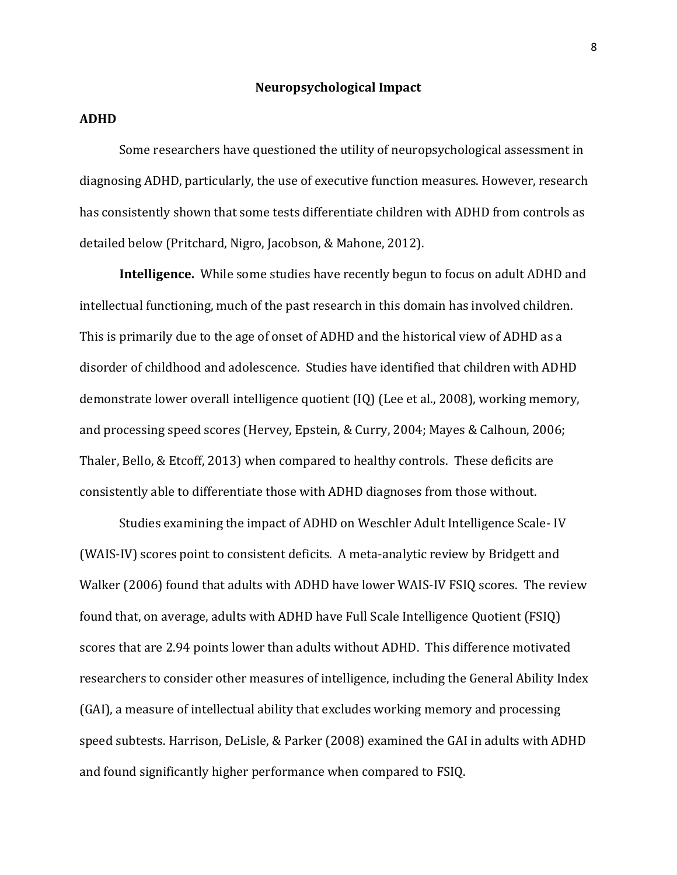### **Neuropsychological Impact**

### **ADHD**

Some researchers have questioned the utility of neuropsychological assessment in diagnosing ADHD, particularly, the use of executive function measures. However, research has consistently shown that some tests differentiate children with ADHD from controls as detailed below (Pritchard, Nigro, Jacobson, & Mahone, 2012).

**Intelligence.** While some studies have recently begun to focus on adult ADHD and intellectual functioning, much of the past research in this domain has involved children. This is primarily due to the age of onset of ADHD and the historical view of ADHD as a disorder of childhood and adolescence. Studies have identified that children with ADHD demonstrate lower overall intelligence quotient (IQ) (Lee et al., 2008), working memory, and processing speed scores (Hervey, Epstein, & Curry, 2004; Mayes & Calhoun, 2006; Thaler, Bello, & Etcoff, 2013) when compared to healthy controls. These deficits are consistently able to differentiate those with ADHD diagnoses from those without.

Studies examining the impact of ADHD on Weschler Adult Intelligence Scale- IV (WAIS-IV) scores point to consistent deficits. A meta-analytic review by Bridgett and Walker (2006) found that adults with ADHD have lower WAIS-IV FSIQ scores. The review found that, on average, adults with ADHD have Full Scale Intelligence Quotient (FSIQ) scores that are 2.94 points lower than adults without ADHD. This difference motivated researchers to consider other measures of intelligence, including the General Ability Index (GAI), a measure of intellectual ability that excludes working memory and processing speed subtests. Harrison, DeLisle, & Parker (2008) examined the GAI in adults with ADHD and found significantly higher performance when compared to FSIQ.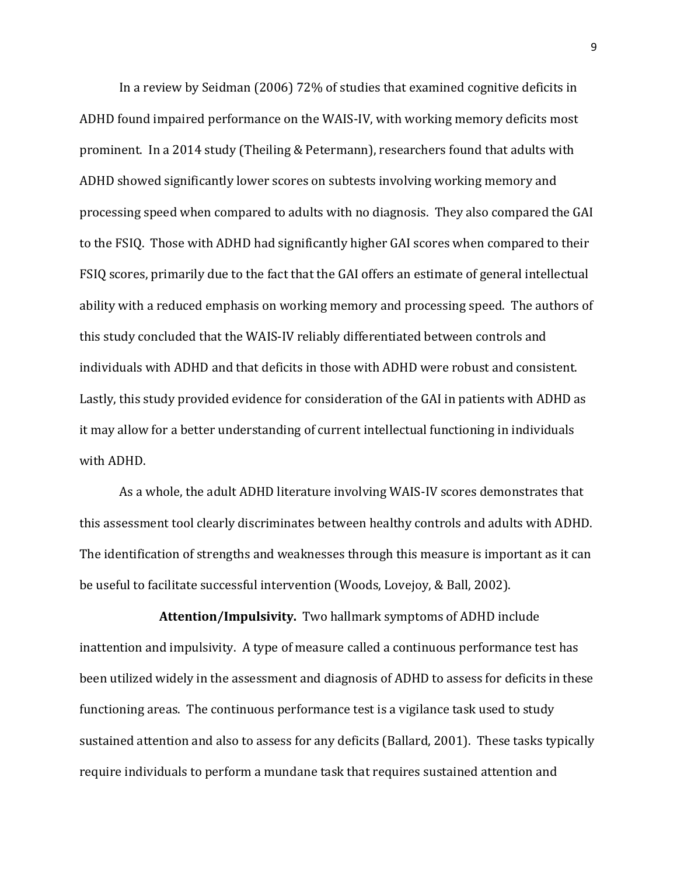In a review by Seidman (2006) 72% of studies that examined cognitive deficits in ADHD found impaired performance on the WAIS-IV, with working memory deficits most prominent. In a 2014 study (Theiling & Petermann), researchers found that adults with ADHD showed significantly lower scores on subtests involving working memory and processing speed when compared to adults with no diagnosis. They also compared the GAI to the FSIQ. Those with ADHD had significantly higher GAI scores when compared to their FSIQ scores, primarily due to the fact that the GAI offers an estimate of general intellectual ability with a reduced emphasis on working memory and processing speed. The authors of this study concluded that the WAIS-IV reliably differentiated between controls and individuals with ADHD and that deficits in those with ADHD were robust and consistent. Lastly, this study provided evidence for consideration of the GAI in patients with ADHD as it may allow for a better understanding of current intellectual functioning in individuals with ADHD.

As a whole, the adult ADHD literature involving WAIS-IV scores demonstrates that this assessment tool clearly discriminates between healthy controls and adults with ADHD. The identification of strengths and weaknesses through this measure is important as it can be useful to facilitate successful intervention (Woods, Lovejoy, & Ball, 2002).

**Attention/Impulsivity.** Two hallmark symptoms of ADHD include inattention and impulsivity. A type of measure called a continuous performance test has been utilized widely in the assessment and diagnosis of ADHD to assess for deficits in these functioning areas. The continuous performance test is a vigilance task used to study sustained attention and also to assess for any deficits (Ballard, 2001). These tasks typically require individuals to perform a mundane task that requires sustained attention and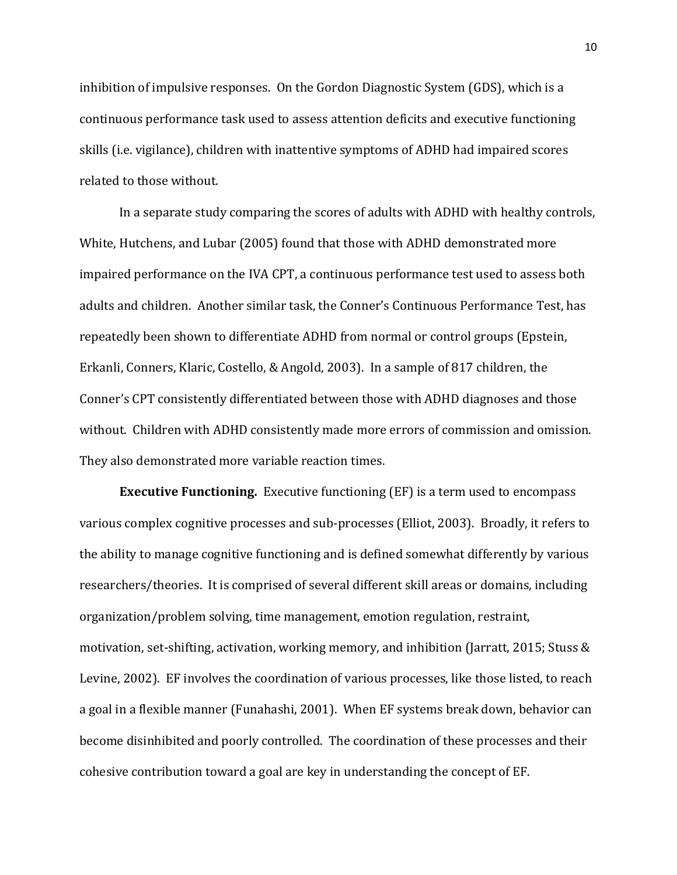inhibition of impulsive responses. On the Gordon Diagnostic System (GDS), which is a continuous performance task used to assess attention deficits and executive functioning skills (i.e. vigilance), children with inattentive symptoms of ADHD had impaired scores related to those without.

In a separate study comparing the scores of adults with ADHD with healthy controls, White, Hutchens, and Lubar (2005) found that those with ADHD demonstrated more impaired performance on the IVA CPT, a continuous performance test used to assess both adults and children. Another similar task, the Conner's Continuous Performance Test, has repeatedly been shown to differentiate ADHD from normal or control groups (Epstein, Erkanli, Conners, Klaric, Costello, & Angold, 2003). In a sample of 817 children, the Conner's CPT consistently differentiated between those with ADHD diagnoses and those without. Children with ADHD consistently made more errors of commission and omission. They also demonstrated more variable reaction times.

**Executive Functioning.** Executive functioning (EF) is a term used to encompass various complex cognitive processes and sub-processes (Elliot, 2003). Broadly, it refers to the ability to manage cognitive functioning and is defined somewhat differently by various researchers/theories. It is comprised of several different skill areas or domains, including organization/problem solving, time management, emotion regulation, restraint, motivation, set-shifting, activation, working memory, and inhibition (Jarratt, 2015; Stuss & Levine, 2002). EF involves the coordination of various processes, like those listed, to reach a goal in a flexible manner (Funahashi, 2001). When EF systems break down, behavior can become disinhibited and poorly controlled. The coordination of these processes and their cohesive contribution toward a goal are key in understanding the concept of EF.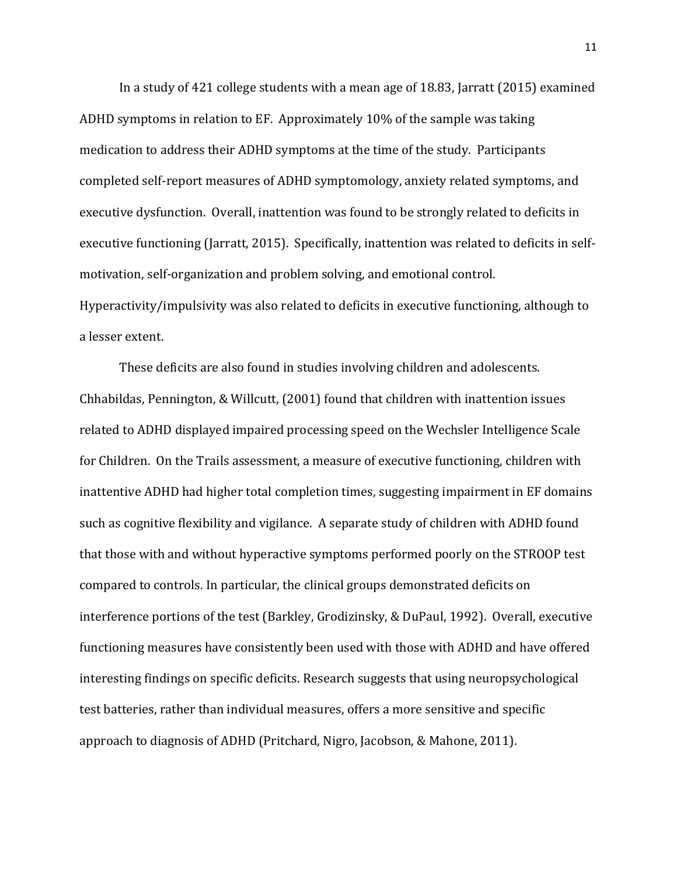In a study of 421 college students with a mean age of 18.83, Jarratt (2015) examined ADHD symptoms in relation to EF. Approximately 10% of the sample was taking medication to address their ADHD symptoms at the time of the study. Participants completed self-report measures of ADHD symptomology, anxiety related symptoms, and executive dysfunction. Overall, inattention was found to be strongly related to deficits in executive functioning (Jarratt, 2015). Specifically, inattention was related to deficits in selfmotivation, self-organization and problem solving, and emotional control. Hyperactivity/impulsivity was also related to deficits in executive functioning, although to a lesser extent.

These deficits are also found in studies involving children and adolescents. Chhabildas, Pennington, & Willcutt, (2001) found that children with inattention issues related to ADHD displayed impaired processing speed on the Wechsler Intelligence Scale for Children. On the Trails assessment, a measure of executive functioning, children with inattentive ADHD had higher total completion times, suggesting impairment in EF domains such as cognitive flexibility and vigilance. A separate study of children with ADHD found that those with and without hyperactive symptoms performed poorly on the STROOP test compared to controls. In particular, the clinical groups demonstrated deficits on interference portions of the test (Barkley, Grodizinsky, & DuPaul, 1992). Overall, executive functioning measures have consistently been used with those with ADHD and have offered interesting findings on specific deficits. Research suggests that using neuropsychological test batteries, rather than individual measures, offers a more sensitive and specific approach to diagnosis of ADHD (Pritchard, Nigro, Jacobson, & Mahone, 2011).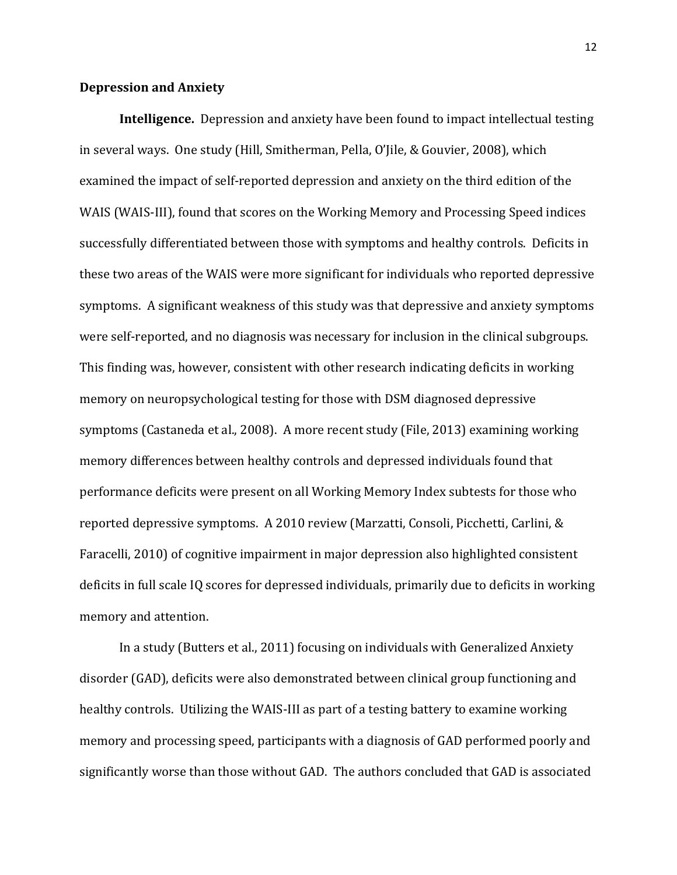### **Depression and Anxiety**

**Intelligence.** Depression and anxiety have been found to impact intellectual testing in several ways. One study (Hill, Smitherman, Pella, O'Jile, & Gouvier, 2008), which examined the impact of self-reported depression and anxiety on the third edition of the WAIS (WAIS-III), found that scores on the Working Memory and Processing Speed indices successfully differentiated between those with symptoms and healthy controls. Deficits in these two areas of the WAIS were more significant for individuals who reported depressive symptoms. A significant weakness of this study was that depressive and anxiety symptoms were self-reported, and no diagnosis was necessary for inclusion in the clinical subgroups. This finding was, however, consistent with other research indicating deficits in working memory on neuropsychological testing for those with DSM diagnosed depressive symptoms (Castaneda et al., 2008). A more recent study (File, 2013) examining working memory differences between healthy controls and depressed individuals found that performance deficits were present on all Working Memory Index subtests for those who reported depressive symptoms. A 2010 review (Marzatti, Consoli, Picchetti, Carlini, & Faracelli, 2010) of cognitive impairment in major depression also highlighted consistent deficits in full scale IQ scores for depressed individuals, primarily due to deficits in working memory and attention.

In a study (Butters et al., 2011) focusing on individuals with Generalized Anxiety disorder (GAD), deficits were also demonstrated between clinical group functioning and healthy controls. Utilizing the WAIS-III as part of a testing battery to examine working memory and processing speed, participants with a diagnosis of GAD performed poorly and significantly worse than those without GAD. The authors concluded that GAD is associated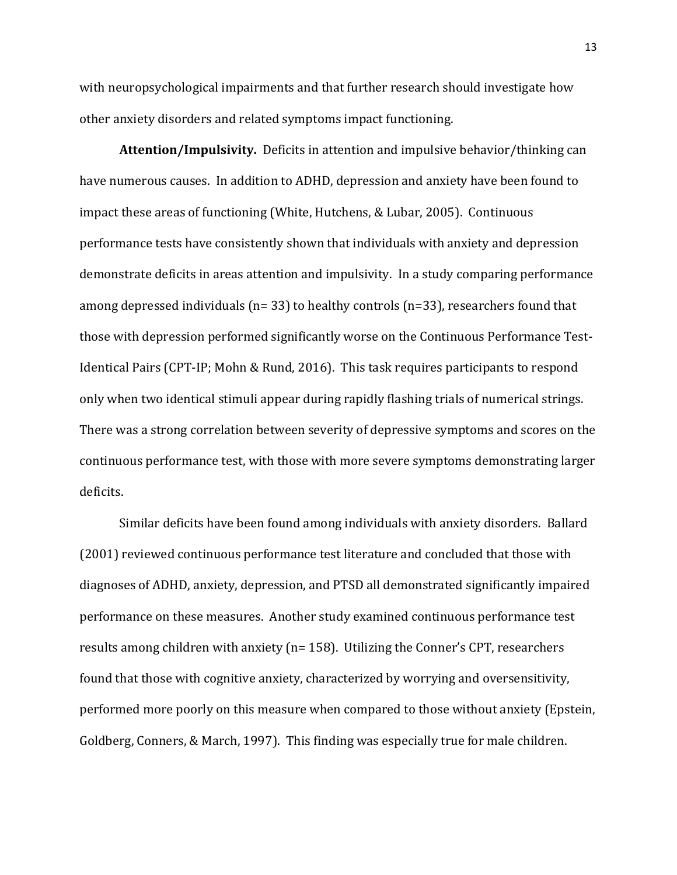with neuropsychological impairments and that further research should investigate how other anxiety disorders and related symptoms impact functioning.

**Attention/Impulsivity.** Deficits in attention and impulsive behavior/thinking can have numerous causes. In addition to ADHD, depression and anxiety have been found to impact these areas of functioning (White, Hutchens, & Lubar, 2005). Continuous performance tests have consistently shown that individuals with anxiety and depression demonstrate deficits in areas attention and impulsivity. In a study comparing performance among depressed individuals (n= 33) to healthy controls (n=33), researchers found that those with depression performed significantly worse on the Continuous Performance Test-Identical Pairs (CPT-IP; Mohn & Rund, 2016). This task requires participants to respond only when two identical stimuli appear during rapidly flashing trials of numerical strings. There was a strong correlation between severity of depressive symptoms and scores on the continuous performance test, with those with more severe symptoms demonstrating larger deficits.

Similar deficits have been found among individuals with anxiety disorders. Ballard (2001) reviewed continuous performance test literature and concluded that those with diagnoses of ADHD, anxiety, depression, and PTSD all demonstrated significantly impaired performance on these measures. Another study examined continuous performance test results among children with anxiety (n= 158). Utilizing the Conner's CPT, researchers found that those with cognitive anxiety, characterized by worrying and oversensitivity, performed more poorly on this measure when compared to those without anxiety (Epstein, Goldberg, Conners, & March, 1997). This finding was especially true for male children.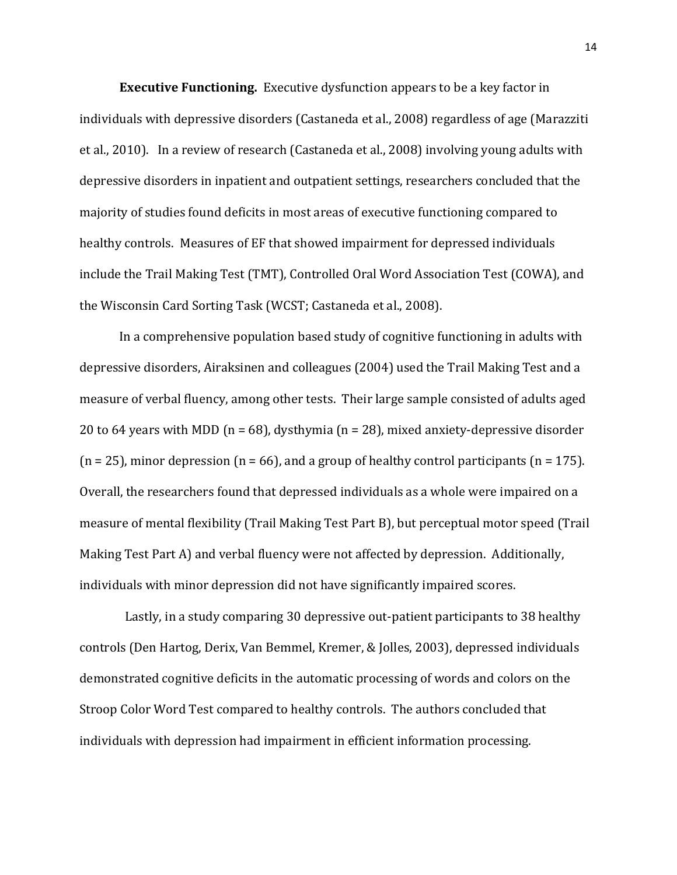**Executive Functioning.** Executive dysfunction appears to be a key factor in individuals with depressive disorders (Castaneda et al., 2008) regardless of age (Marazziti et al., 2010). In a review of research (Castaneda et al., 2008) involving young adults with depressive disorders in inpatient and outpatient settings, researchers concluded that the majority of studies found deficits in most areas of executive functioning compared to healthy controls. Measures of EF that showed impairment for depressed individuals include the Trail Making Test (TMT), Controlled Oral Word Association Test (COWA), and the Wisconsin Card Sorting Task (WCST; Castaneda et al., 2008).

In a comprehensive population based study of cognitive functioning in adults with depressive disorders, Airaksinen and colleagues (2004) used the Trail Making Test and a measure of verbal fluency, among other tests. Their large sample consisted of adults aged 20 to 64 years with MDD (n = 68), dysthymia (n = 28), mixed anxiety-depressive disorder  $(n = 25)$ , minor depression  $(n = 66)$ , and a group of healthy control participants  $(n = 175)$ . Overall, the researchers found that depressed individuals as a whole were impaired on a measure of mental flexibility (Trail Making Test Part B), but perceptual motor speed (Trail Making Test Part A) and verbal fluency were not affected by depression. Additionally, individuals with minor depression did not have significantly impaired scores.

 Lastly, in a study comparing 30 depressive out-patient participants to 38 healthy controls (Den Hartog, Derix, Van Bemmel, Kremer, & Jolles, 2003), depressed individuals demonstrated cognitive deficits in the automatic processing of words and colors on the Stroop Color Word Test compared to healthy controls. The authors concluded that individuals with depression had impairment in efficient information processing.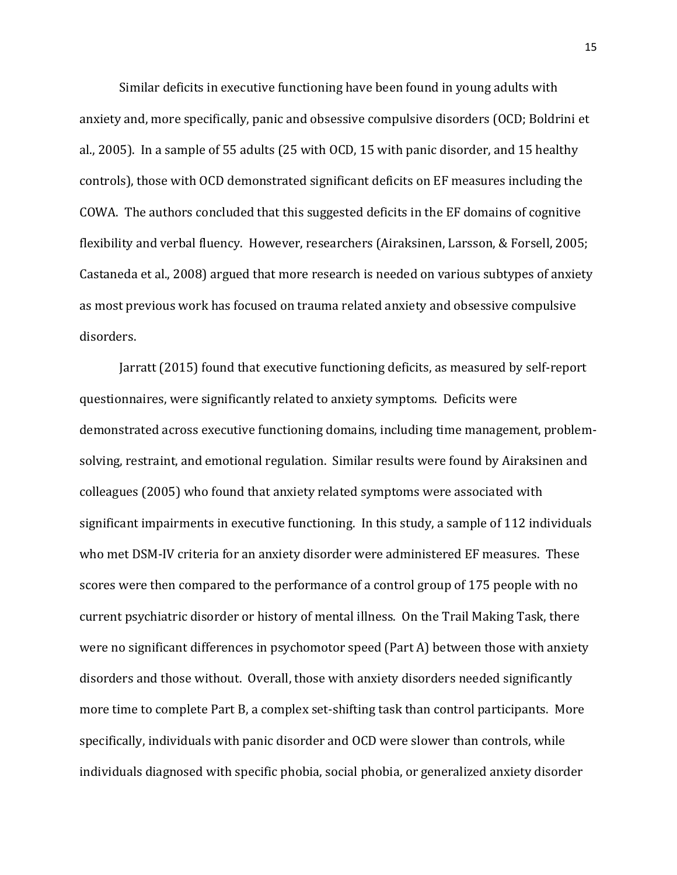Similar deficits in executive functioning have been found in young adults with anxiety and, more specifically, panic and obsessive compulsive disorders (OCD; Boldrini et al., 2005). In a sample of 55 adults (25 with OCD, 15 with panic disorder, and 15 healthy controls), those with OCD demonstrated significant deficits on EF measures including the COWA. The authors concluded that this suggested deficits in the EF domains of cognitive flexibility and verbal fluency. However, researchers (Airaksinen, Larsson, & Forsell, 2005; Castaneda et al., 2008) argued that more research is needed on various subtypes of anxiety as most previous work has focused on trauma related anxiety and obsessive compulsive disorders.

Jarratt (2015) found that executive functioning deficits, as measured by self-report questionnaires, were significantly related to anxiety symptoms. Deficits were demonstrated across executive functioning domains, including time management, problemsolving, restraint, and emotional regulation. Similar results were found by Airaksinen and colleagues (2005) who found that anxiety related symptoms were associated with significant impairments in executive functioning. In this study, a sample of 112 individuals who met DSM-IV criteria for an anxiety disorder were administered EF measures. These scores were then compared to the performance of a control group of 175 people with no current psychiatric disorder or history of mental illness. On the Trail Making Task, there were no significant differences in psychomotor speed (Part A) between those with anxiety disorders and those without. Overall, those with anxiety disorders needed significantly more time to complete Part B, a complex set-shifting task than control participants. More specifically, individuals with panic disorder and OCD were slower than controls, while individuals diagnosed with specific phobia, social phobia, or generalized anxiety disorder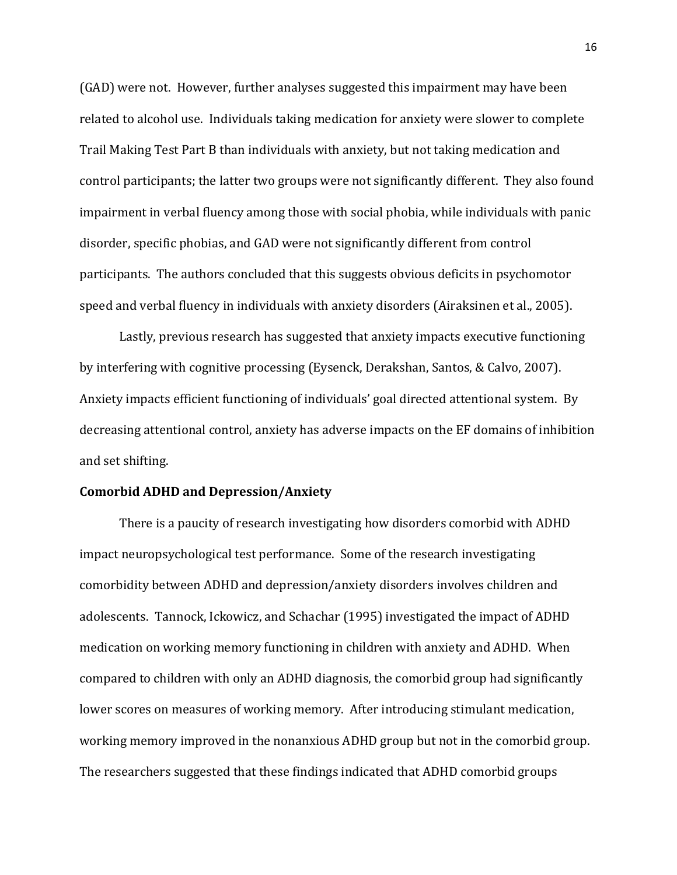(GAD) were not. However, further analyses suggested this impairment may have been related to alcohol use. Individuals taking medication for anxiety were slower to complete Trail Making Test Part B than individuals with anxiety, but not taking medication and control participants; the latter two groups were not significantly different. They also found impairment in verbal fluency among those with social phobia, while individuals with panic disorder, specific phobias, and GAD were not significantly different from control participants. The authors concluded that this suggests obvious deficits in psychomotor speed and verbal fluency in individuals with anxiety disorders (Airaksinen et al., 2005).

Lastly, previous research has suggested that anxiety impacts executive functioning by interfering with cognitive processing (Eysenck, Derakshan, Santos, & Calvo, 2007). Anxiety impacts efficient functioning of individuals' goal directed attentional system. By decreasing attentional control, anxiety has adverse impacts on the EF domains of inhibition and set shifting.

## **Comorbid ADHD and Depression/Anxiety**

There is a paucity of research investigating how disorders comorbid with ADHD impact neuropsychological test performance. Some of the research investigating comorbidity between ADHD and depression/anxiety disorders involves children and adolescents. Tannock, Ickowicz, and Schachar (1995) investigated the impact of ADHD medication on working memory functioning in children with anxiety and ADHD. When compared to children with only an ADHD diagnosis, the comorbid group had significantly lower scores on measures of working memory. After introducing stimulant medication, working memory improved in the nonanxious ADHD group but not in the comorbid group. The researchers suggested that these findings indicated that ADHD comorbid groups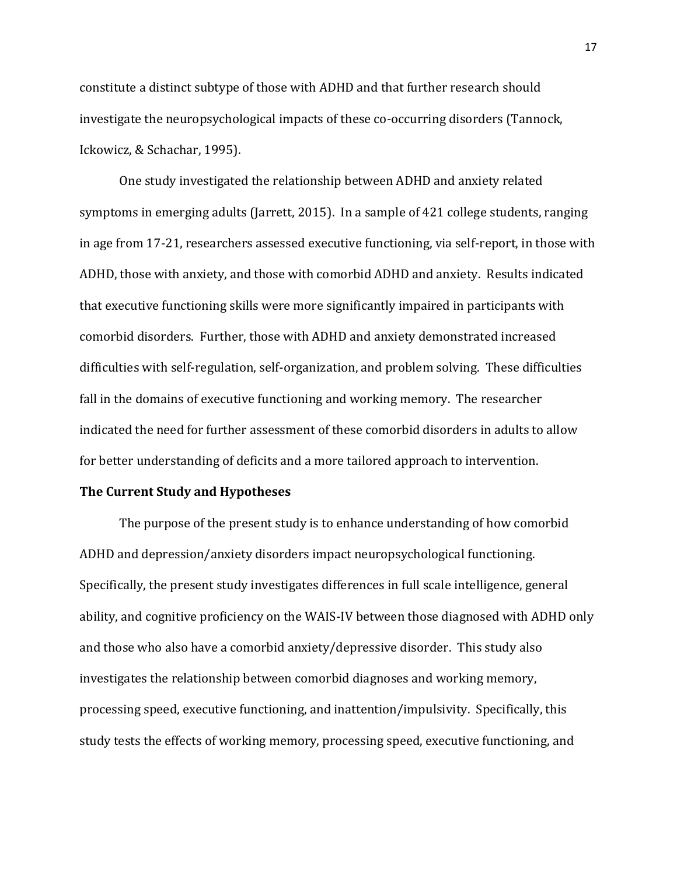constitute a distinct subtype of those with ADHD and that further research should investigate the neuropsychological impacts of these co-occurring disorders (Tannock, Ickowicz, & Schachar, 1995).

One study investigated the relationship between ADHD and anxiety related symptoms in emerging adults (Jarrett, 2015). In a sample of 421 college students, ranging in age from 17-21, researchers assessed executive functioning, via self-report, in those with ADHD, those with anxiety, and those with comorbid ADHD and anxiety. Results indicated that executive functioning skills were more significantly impaired in participants with comorbid disorders. Further, those with ADHD and anxiety demonstrated increased difficulties with self-regulation, self-organization, and problem solving. These difficulties fall in the domains of executive functioning and working memory. The researcher indicated the need for further assessment of these comorbid disorders in adults to allow for better understanding of deficits and a more tailored approach to intervention.

## **The Current Study and Hypotheses**

The purpose of the present study is to enhance understanding of how comorbid ADHD and depression/anxiety disorders impact neuropsychological functioning. Specifically, the present study investigates differences in full scale intelligence, general ability, and cognitive proficiency on the WAIS-IV between those diagnosed with ADHD only and those who also have a comorbid anxiety/depressive disorder. This study also investigates the relationship between comorbid diagnoses and working memory, processing speed, executive functioning, and inattention/impulsivity. Specifically, this study tests the effects of working memory, processing speed, executive functioning, and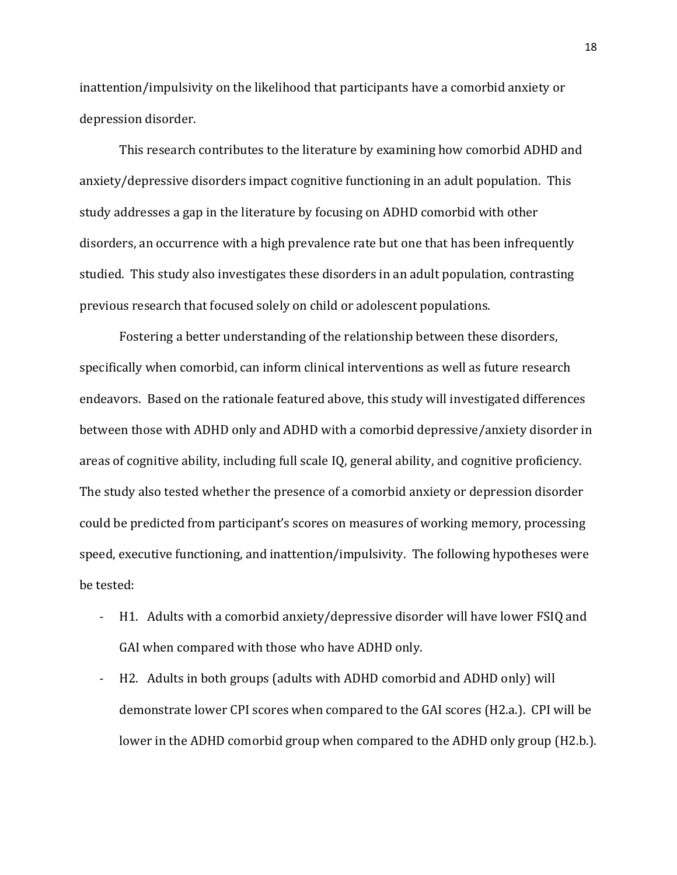inattention/impulsivity on the likelihood that participants have a comorbid anxiety or depression disorder.

This research contributes to the literature by examining how comorbid ADHD and anxiety/depressive disorders impact cognitive functioning in an adult population. This study addresses a gap in the literature by focusing on ADHD comorbid with other disorders, an occurrence with a high prevalence rate but one that has been infrequently studied. This study also investigates these disorders in an adult population, contrasting previous research that focused solely on child or adolescent populations.

Fostering a better understanding of the relationship between these disorders, specifically when comorbid, can inform clinical interventions as well as future research endeavors. Based on the rationale featured above, this study will investigated differences between those with ADHD only and ADHD with a comorbid depressive/anxiety disorder in areas of cognitive ability, including full scale IQ, general ability, and cognitive proficiency. The study also tested whether the presence of a comorbid anxiety or depression disorder could be predicted from participant's scores on measures of working memory, processing speed, executive functioning, and inattention/impulsivity. The following hypotheses were be tested:

- H1. Adults with a comorbid anxiety/depressive disorder will have lower FSIQ and GAI when compared with those who have ADHD only.
- H2. Adults in both groups (adults with ADHD comorbid and ADHD only) will demonstrate lower CPI scores when compared to the GAI scores (H2.a.). CPI will be lower in the ADHD comorbid group when compared to the ADHD only group (H2.b.).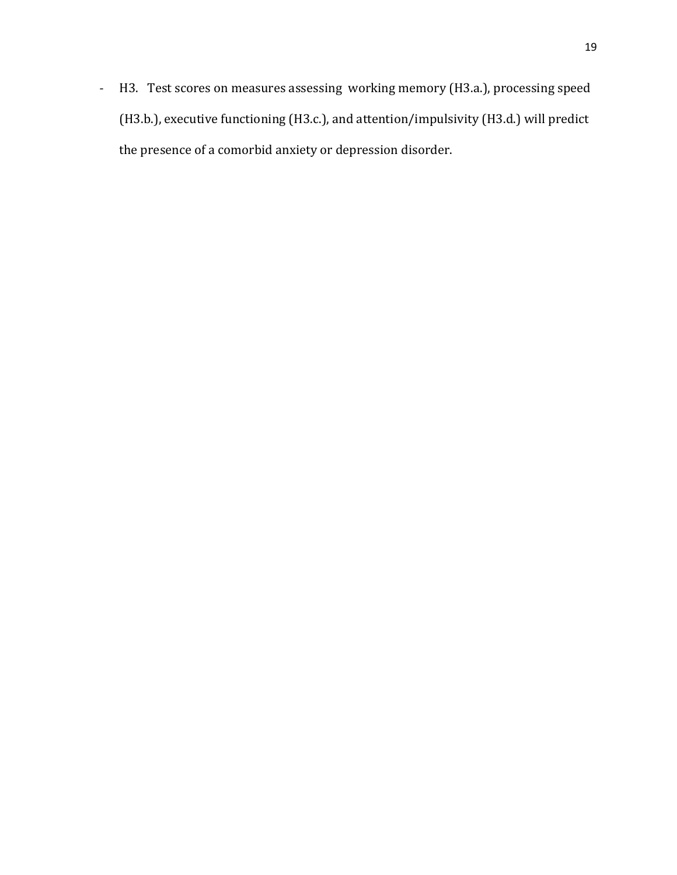- H3. Test scores on measures assessing working memory (H3.a.), processing speed (H3.b.), executive functioning (H3.c.), and attention/impulsivity (H3.d.) will predict the presence of a comorbid anxiety or depression disorder.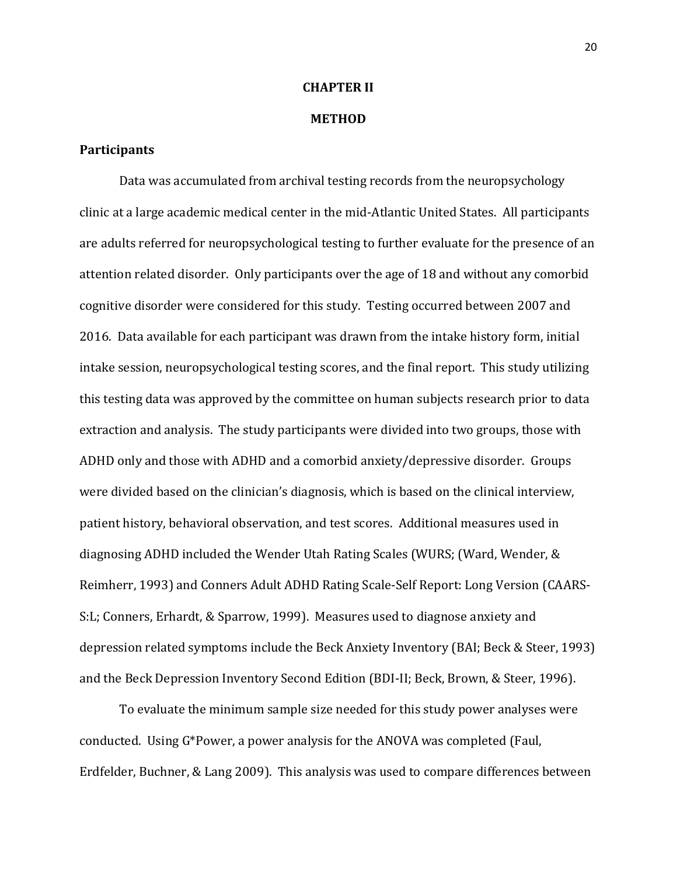## **CHAPTER II**

#### **METHOD**

### **Participants**

Data was accumulated from archival testing records from the neuropsychology clinic at a large academic medical center in the mid-Atlantic United States. All participants are adults referred for neuropsychological testing to further evaluate for the presence of an attention related disorder. Only participants over the age of 18 and without any comorbid cognitive disorder were considered for this study. Testing occurred between 2007 and 2016. Data available for each participant was drawn from the intake history form, initial intake session, neuropsychological testing scores, and the final report. This study utilizing this testing data was approved by the committee on human subjects research prior to data extraction and analysis. The study participants were divided into two groups, those with ADHD only and those with ADHD and a comorbid anxiety/depressive disorder. Groups were divided based on the clinician's diagnosis, which is based on the clinical interview, patient history, behavioral observation, and test scores. Additional measures used in diagnosing ADHD included the Wender Utah Rating Scales (WURS; (Ward, Wender, & Reimherr, 1993) and Conners Adult ADHD Rating Scale-Self Report: Long Version (CAARS-S:L; Conners, Erhardt, & Sparrow, 1999). Measures used to diagnose anxiety and depression related symptoms include the Beck Anxiety Inventory (BAI; Beck & Steer, 1993) and the Beck Depression Inventory Second Edition (BDI-II; Beck, Brown, & Steer, 1996).

To evaluate the minimum sample size needed for this study power analyses were conducted. Using G\*Power, a power analysis for the ANOVA was completed (Faul, Erdfelder, Buchner, & Lang 2009). This analysis was used to compare differences between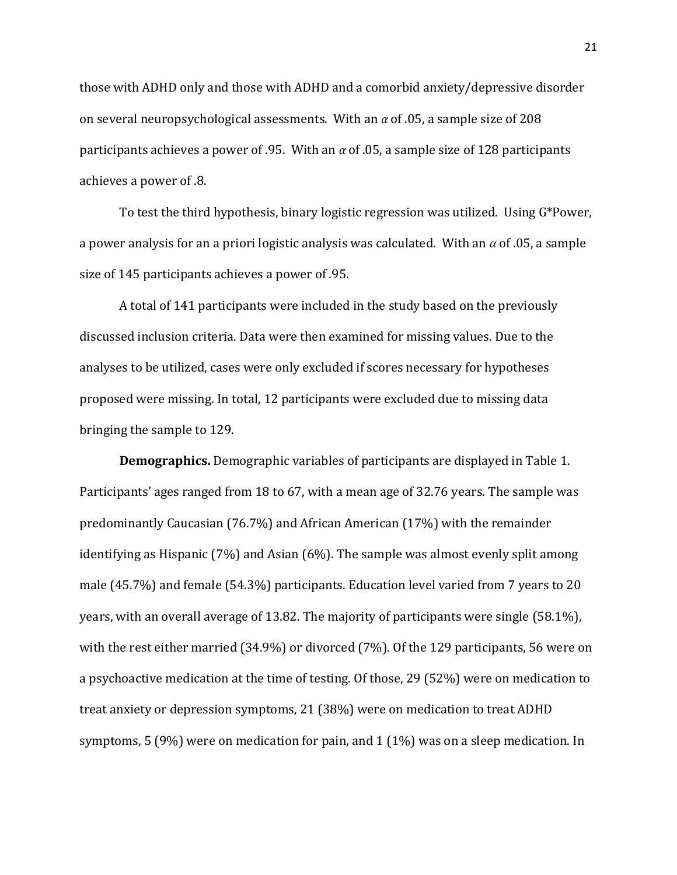those with ADHD only and those with ADHD and a comorbid anxiety/depressive disorder on several neuropsychological assessments. With an *α* of .05, a sample size of 208 participants achieves a power of .95. With an *α* of .05, a sample size of 128 participants achieves a power of .8.

To test the third hypothesis, binary logistic regression was utilized. Using G\*Power, a power analysis for an a priori logistic analysis was calculated. With an *α* of .05, a sample size of 145 participants achieves a power of .95.

A total of 141 participants were included in the study based on the previously discussed inclusion criteria. Data were then examined for missing values. Due to the analyses to be utilized, cases were only excluded if scores necessary for hypotheses proposed were missing. In total, 12 participants were excluded due to missing data bringing the sample to 129.

**Demographics.** Demographic variables of participants are displayed in Table 1. Participants' ages ranged from 18 to 67, with a mean age of 32.76 years. The sample was predominantly Caucasian (76.7%) and African American (17%) with the remainder identifying as Hispanic (7%) and Asian (6%). The sample was almost evenly split among male (45.7%) and female (54.3%) participants. Education level varied from 7 years to 20 years, with an overall average of 13.82. The majority of participants were single (58.1%), with the rest either married (34.9%) or divorced (7%). Of the 129 participants, 56 were on a psychoactive medication at the time of testing. Of those, 29 (52%) were on medication to treat anxiety or depression symptoms, 21 (38%) were on medication to treat ADHD symptoms, 5 (9%) were on medication for pain, and 1 (1%) was on a sleep medication. In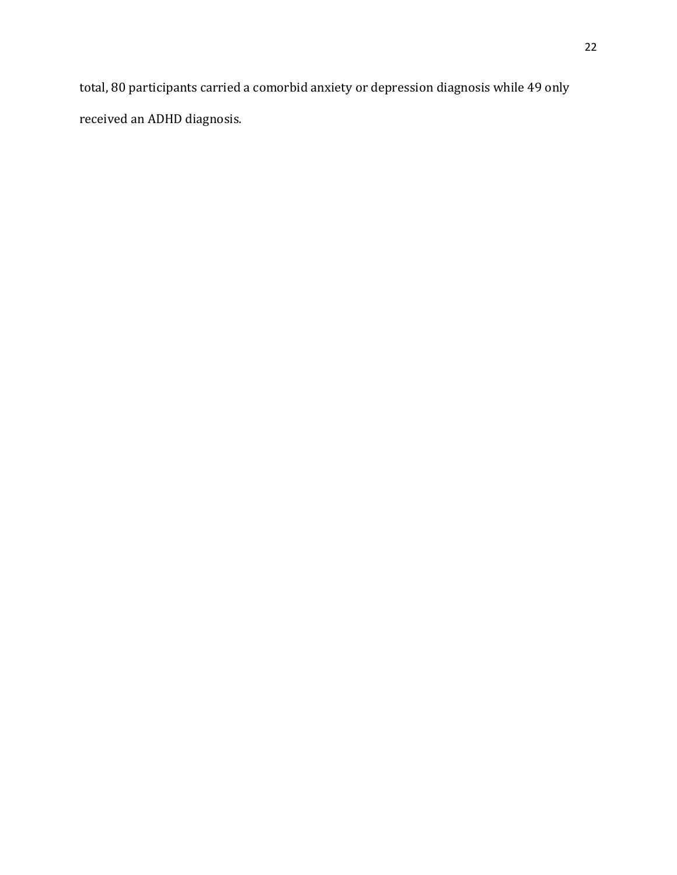total, 80 participants carried a comorbid anxiety or depression diagnosis while 49 only received an ADHD diagnosis.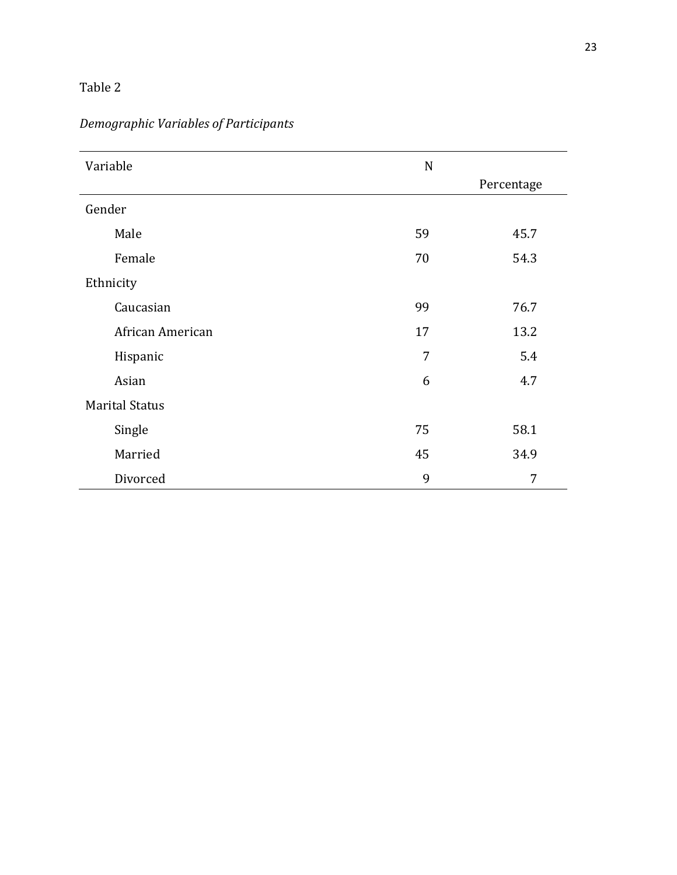# Table 2

| Variable              | $\mathbf N$ |            |  |  |
|-----------------------|-------------|------------|--|--|
|                       |             | Percentage |  |  |
| Gender                |             |            |  |  |
| Male                  | 59          | 45.7       |  |  |
| Female                | 70          | 54.3       |  |  |
| Ethnicity             |             |            |  |  |
| Caucasian             | 99          | 76.7       |  |  |
| African American      | 17          | 13.2       |  |  |
| Hispanic              | 7           | 5.4        |  |  |
| Asian                 | 6           | 4.7        |  |  |
| <b>Marital Status</b> |             |            |  |  |
| Single                | 75          | 58.1       |  |  |
| Married               | 45          | 34.9       |  |  |
| Divorced              | 9           | 7          |  |  |

# *Demographic Variables of Participants*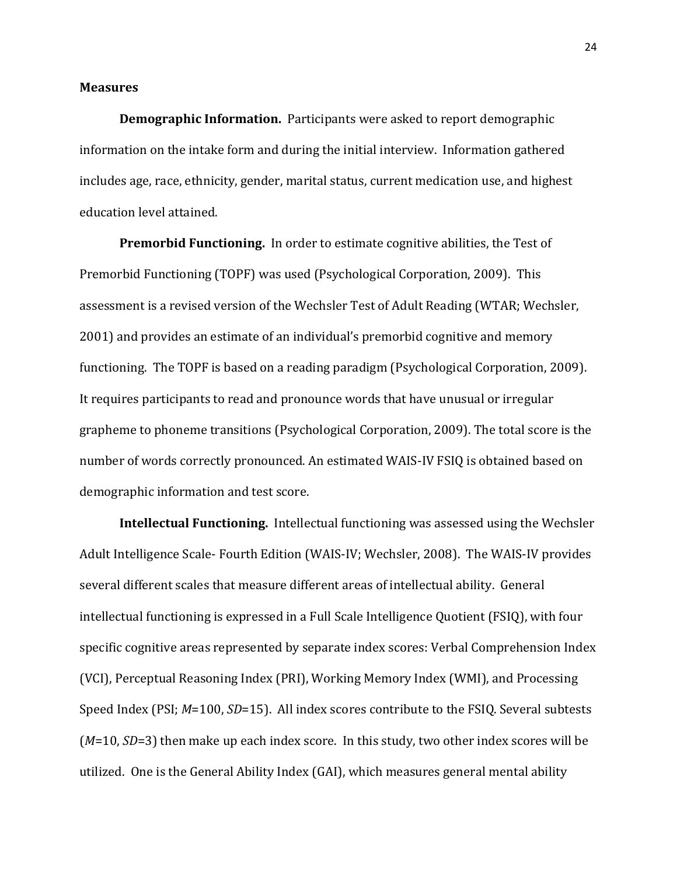### **Measures**

**Demographic Information.** Participants were asked to report demographic information on the intake form and during the initial interview. Information gathered includes age, race, ethnicity, gender, marital status, current medication use, and highest education level attained.

**Premorbid Functioning.** In order to estimate cognitive abilities, the Test of Premorbid Functioning (TOPF) was used (Psychological Corporation, 2009). This assessment is a revised version of the Wechsler Test of Adult Reading (WTAR; Wechsler, 2001) and provides an estimate of an individual's premorbid cognitive and memory functioning. The TOPF is based on a reading paradigm (Psychological Corporation, 2009). It requires participants to read and pronounce words that have unusual or irregular grapheme to phoneme transitions (Psychological Corporation, 2009). The total score is the number of words correctly pronounced. An estimated WAIS-IV FSIQ is obtained based on demographic information and test score.

**Intellectual Functioning.** Intellectual functioning was assessed using the Wechsler Adult Intelligence Scale- Fourth Edition (WAIS-IV; Wechsler, 2008). The WAIS-IV provides several different scales that measure different areas of intellectual ability. General intellectual functioning is expressed in a Full Scale Intelligence Quotient (FSIQ), with four specific cognitive areas represented by separate index scores: Verbal Comprehension Index (VCI), Perceptual Reasoning Index (PRI), Working Memory Index (WMI), and Processing Speed Index (PSI; *M*=100, *SD*=15). All index scores contribute to the FSIQ. Several subtests (*M*=10, *SD*=3) then make up each index score. In this study, two other index scores will be utilized. One is the General Ability Index (GAI), which measures general mental ability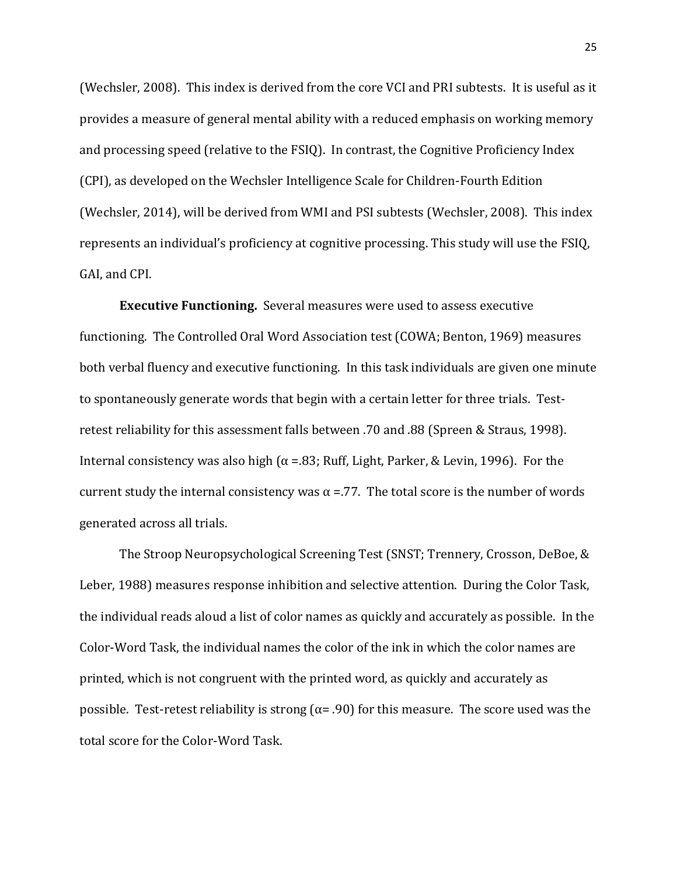(Wechsler, 2008). This index is derived from the core VCI and PRI subtests. It is useful as it provides a measure of general mental ability with a reduced emphasis on working memory and processing speed (relative to the FSIQ). In contrast, the Cognitive Proficiency Index (CPI), as developed on the Wechsler Intelligence Scale for Children-Fourth Edition (Wechsler, 2014), will be derived from WMI and PSI subtests (Wechsler, 2008). This index represents an individual's proficiency at cognitive processing. This study will use the FSIQ, GAI, and CPI.

**Executive Functioning.** Several measures were used to assess executive functioning. The Controlled Oral Word Association test (COWA; Benton, 1969) measures both verbal fluency and executive functioning. In this task individuals are given one minute to spontaneously generate words that begin with a certain letter for three trials. Testretest reliability for this assessment falls between .70 and .88 (Spreen & Straus, 1998). Internal consistency was also high ( $α = .83$ ; Ruff, Light, Parker, & Levin, 1996). For the current study the internal consistency was  $\alpha$  =.77. The total score is the number of words generated across all trials.

The Stroop Neuropsychological Screening Test (SNST; Trennery, Crosson, DeBoe, & Leber, 1988) measures response inhibition and selective attention. During the Color Task, the individual reads aloud a list of color names as quickly and accurately as possible. In the Color-Word Task, the individual names the color of the ink in which the color names are printed, which is not congruent with the printed word, as quickly and accurately as possible. Test-retest reliability is strong ( $α= .90$ ) for this measure. The score used was the total score for the Color-Word Task.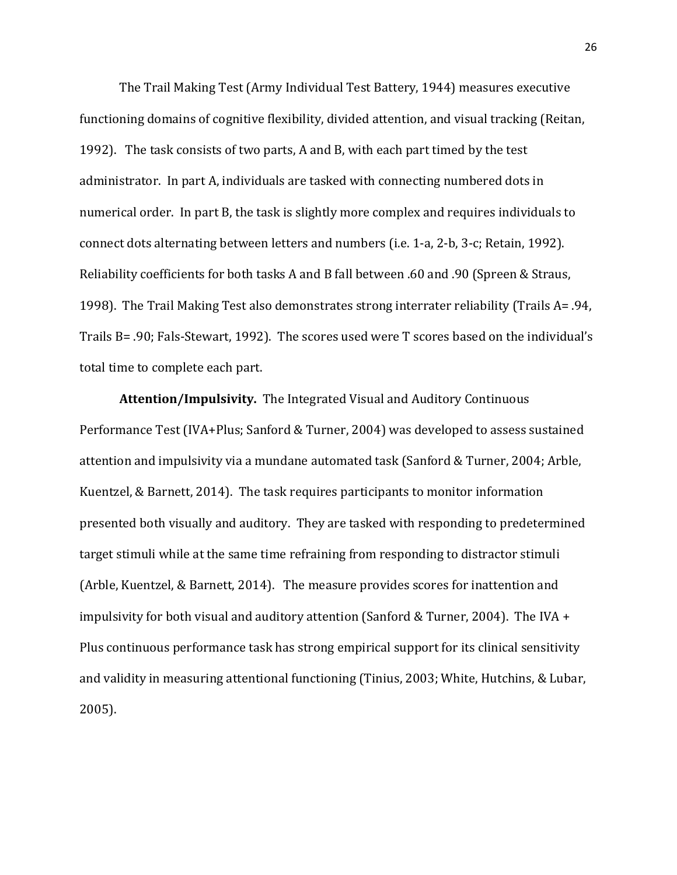The Trail Making Test (Army Individual Test Battery, 1944) measures executive functioning domains of cognitive flexibility, divided attention, and visual tracking (Reitan, 1992). The task consists of two parts, A and B, with each part timed by the test administrator. In part A, individuals are tasked with connecting numbered dots in numerical order. In part B, the task is slightly more complex and requires individuals to connect dots alternating between letters and numbers (i.e. 1-a, 2-b, 3-c; Retain, 1992). Reliability coefficients for both tasks A and B fall between .60 and .90 (Spreen & Straus, 1998). The Trail Making Test also demonstrates strong interrater reliability (Trails A= .94, Trails B= .90; Fals-Stewart, 1992). The scores used were T scores based on the individual's total time to complete each part.

**Attention/Impulsivity.** The Integrated Visual and Auditory Continuous Performance Test (IVA+Plus; Sanford & Turner, 2004) was developed to assess sustained attention and impulsivity via a mundane automated task (Sanford & Turner, 2004; Arble, Kuentzel, & Barnett, 2014). The task requires participants to monitor information presented both visually and auditory. They are tasked with responding to predetermined target stimuli while at the same time refraining from responding to distractor stimuli (Arble, Kuentzel, & Barnett, 2014). The measure provides scores for inattention and impulsivity for both visual and auditory attention (Sanford & Turner, 2004). The IVA + Plus continuous performance task has strong empirical support for its clinical sensitivity and validity in measuring attentional functioning (Tinius, 2003; White, Hutchins, & Lubar, 2005).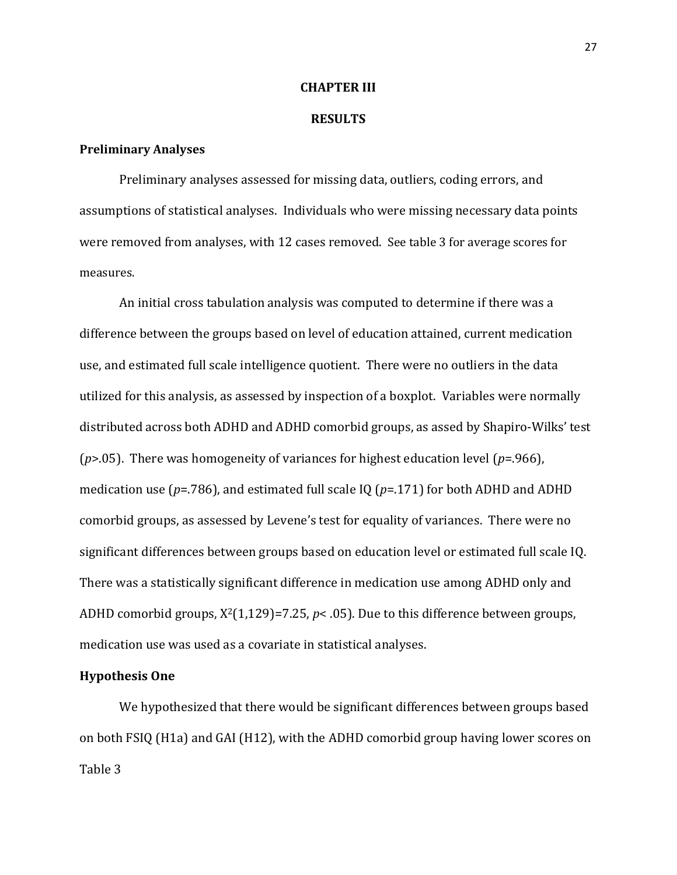### **CHAPTER III**

#### **RESULTS**

### **Preliminary Analyses**

Preliminary analyses assessed for missing data, outliers, coding errors, and assumptions of statistical analyses. Individuals who were missing necessary data points were removed from analyses, with 12 cases removed. See table 3 for average scores for measures.

An initial cross tabulation analysis was computed to determine if there was a difference between the groups based on level of education attained, current medication use, and estimated full scale intelligence quotient. There were no outliers in the data utilized for this analysis, as assessed by inspection of a boxplot. Variables were normally distributed across both ADHD and ADHD comorbid groups, as assed by Shapiro-Wilks' test (*p*>.05). There was homogeneity of variances for highest education level (*p*=.966), medication use (*p*=.786), and estimated full scale IQ (*p*=.171) for both ADHD and ADHD comorbid groups, as assessed by Levene's test for equality of variances. There were no significant differences between groups based on education level or estimated full scale IQ. There was a statistically significant difference in medication use among ADHD only and ADHD comorbid groups, X2(1,129)=7.25, *p*< .05). Due to this difference between groups, medication use was used as a covariate in statistical analyses.

### **Hypothesis One**

We hypothesized that there would be significant differences between groups based on both FSIQ (H1a) and GAI (H12), with the ADHD comorbid group having lower scores on Table 3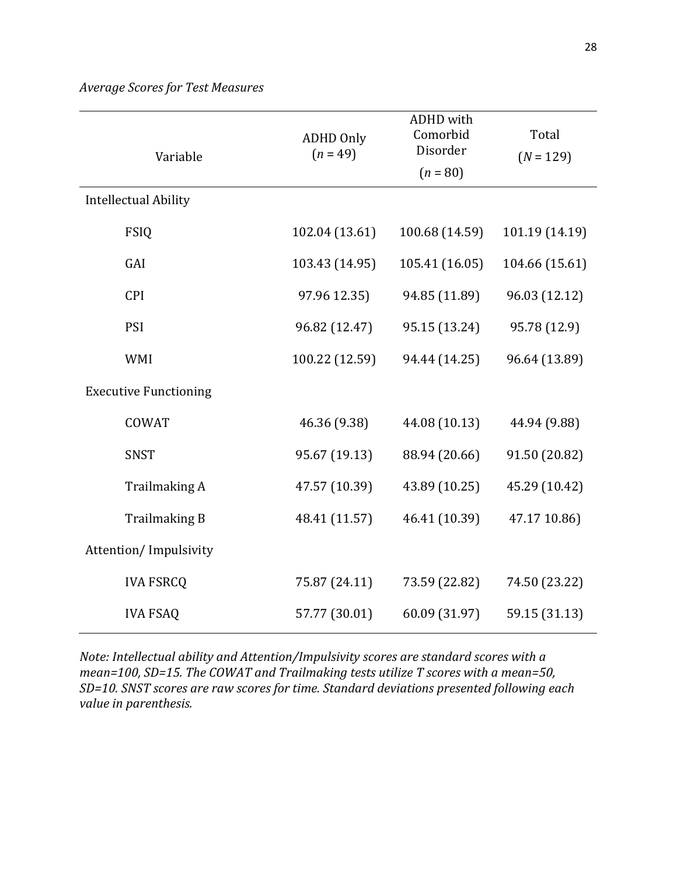| Variable                     | <b>ADHD Only</b><br>$(n = 49)$ | <b>ADHD</b> with<br>Comorbid<br>Disorder<br>$(n = 80)$ | Total<br>$(N = 129)$ |  |
|------------------------------|--------------------------------|--------------------------------------------------------|----------------------|--|
| <b>Intellectual Ability</b>  |                                |                                                        |                      |  |
| <b>FSIQ</b>                  | 102.04 (13.61)                 | 100.68 (14.59)                                         | 101.19 (14.19)       |  |
| GAI                          | 103.43 (14.95)                 | 105.41 (16.05)                                         | 104.66 (15.61)       |  |
| <b>CPI</b>                   | 97.96 12.35)                   | 94.85 (11.89)                                          | 96.03 (12.12)        |  |
| PSI                          | 96.82 (12.47)                  | 95.15 (13.24)                                          | 95.78 (12.9)         |  |
| <b>WMI</b>                   | 100.22 (12.59)                 | 94.44 (14.25)                                          | 96.64 (13.89)        |  |
| <b>Executive Functioning</b> |                                |                                                        |                      |  |
| <b>COWAT</b>                 | 46.36 (9.38)                   | 44.08 (10.13)                                          | 44.94 (9.88)         |  |
| <b>SNST</b>                  | 95.67 (19.13)                  | 88.94 (20.66)                                          | 91.50 (20.82)        |  |
| Trailmaking A                | 47.57 (10.39)                  | 43.89 (10.25)                                          | 45.29 (10.42)        |  |
| <b>Trailmaking B</b>         | 48.41 (11.57)                  | 46.41 (10.39)                                          | 47.17 10.86)         |  |
| Attention/Impulsivity        |                                |                                                        |                      |  |
| <b>IVA FSRCQ</b>             | 75.87 (24.11)                  | 73.59 (22.82)                                          | 74.50 (23.22)        |  |
| <b>IVA FSAQ</b>              | 57.77 (30.01)                  | 60.09 (31.97)                                          | 59.15 (31.13)        |  |

*Note: Intellectual ability and Attention/Impulsivity scores are standard scores with a mean=100, SD=15. The COWAT and Trailmaking tests utilize T scores with a mean=50, SD=10. SNST scores are raw scores for time. Standard deviations presented following each value in parenthesis.*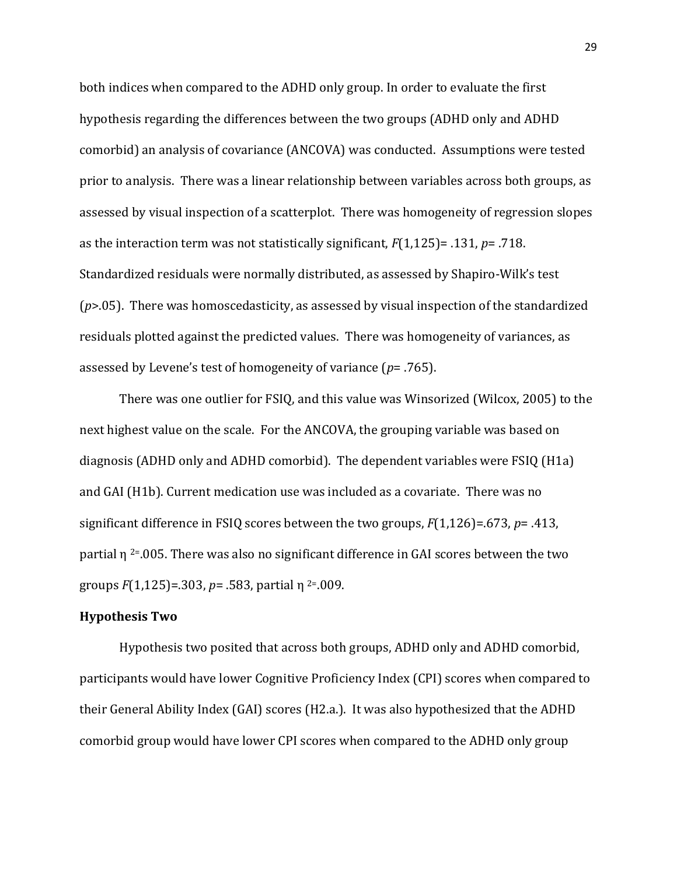both indices when compared to the ADHD only group. In order to evaluate the first hypothesis regarding the differences between the two groups (ADHD only and ADHD comorbid) an analysis of covariance (ANCOVA) was conducted. Assumptions were tested prior to analysis. There was a linear relationship between variables across both groups, as assessed by visual inspection of a scatterplot. There was homogeneity of regression slopes as the interaction term was not statistically significant, *F*(1,125)= .131, *p*= .718. Standardized residuals were normally distributed, as assessed by Shapiro-Wilk's test (*p*>.05). There was homoscedasticity, as assessed by visual inspection of the standardized residuals plotted against the predicted values. There was homogeneity of variances, as assessed by Levene's test of homogeneity of variance (*p*= .765).

There was one outlier for FSIQ, and this value was Winsorized (Wilcox, 2005) to the next highest value on the scale. For the ANCOVA, the grouping variable was based on diagnosis (ADHD only and ADHD comorbid). The dependent variables were FSIQ (H1a) and GAI (H1b). Current medication use was included as a covariate. There was no significant difference in FSIQ scores between the two groups, *F*(1,126)=.673, *p*= .413, partial  $\eta$ <sup>2=</sup>.005. There was also no significant difference in GAI scores between the two groups *F*(1,125)=.303, *p*= .583, partial η 2=.009.

### **Hypothesis Two**

Hypothesis two posited that across both groups, ADHD only and ADHD comorbid, participants would have lower Cognitive Proficiency Index (CPI) scores when compared to their General Ability Index (GAI) scores (H2.a.). It was also hypothesized that the ADHD comorbid group would have lower CPI scores when compared to the ADHD only group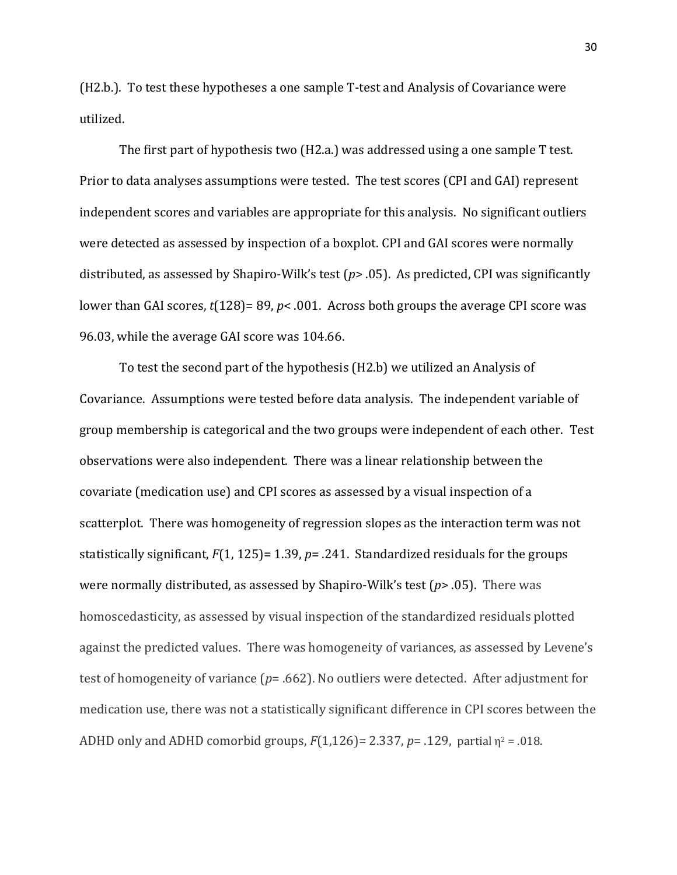(H2.b.). To test these hypotheses a one sample T-test and Analysis of Covariance were utilized.

The first part of hypothesis two (H2.a.) was addressed using a one sample T test. Prior to data analyses assumptions were tested. The test scores (CPI and GAI) represent independent scores and variables are appropriate for this analysis. No significant outliers were detected as assessed by inspection of a boxplot. CPI and GAI scores were normally distributed, as assessed by Shapiro-Wilk's test (*p*> .05). As predicted, CPI was significantly lower than GAI scores,  $t(128)$ = 89,  $p$ < .001. Across both groups the average CPI score was 96.03, while the average GAI score was 104.66.

To test the second part of the hypothesis (H2.b) we utilized an Analysis of Covariance. Assumptions were tested before data analysis. The independent variable of group membership is categorical and the two groups were independent of each other. Test observations were also independent. There was a linear relationship between the covariate (medication use) and CPI scores as assessed by a visual inspection of a scatterplot. There was homogeneity of regression slopes as the interaction term was not statistically significant, *F*(1, 125)= 1.39, *p*= .241. Standardized residuals for the groups were normally distributed, as assessed by Shapiro-Wilk's test (*p*> .05). There was homoscedasticity, as assessed by visual inspection of the standardized residuals plotted against the predicted values. There was homogeneity of variances, as assessed by Levene's test of homogeneity of variance (*p*= .662). No outliers were detected. After adjustment for medication use, there was not a statistically significant difference in CPI scores between the ADHD only and ADHD comorbid groups, *F*(1,126)= 2.337, *p*= .129, partial η<sup>2</sup> = .018.

30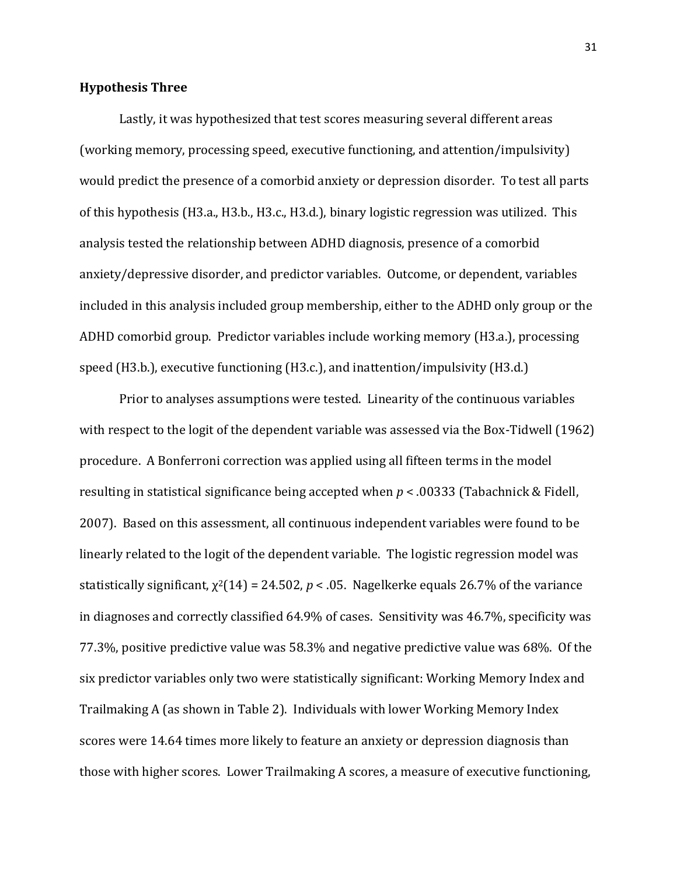### **Hypothesis Three**

Lastly, it was hypothesized that test scores measuring several different areas (working memory, processing speed, executive functioning, and attention/impulsivity) would predict the presence of a comorbid anxiety or depression disorder. To test all parts of this hypothesis (H3.a., H3.b., H3.c., H3.d.), binary logistic regression was utilized. This analysis tested the relationship between ADHD diagnosis, presence of a comorbid anxiety/depressive disorder, and predictor variables. Outcome, or dependent, variables included in this analysis included group membership, either to the ADHD only group or the ADHD comorbid group. Predictor variables include working memory (H3.a.), processing speed (H3.b.), executive functioning (H3.c.), and inattention/impulsivity (H3.d.)

Prior to analyses assumptions were tested. Linearity of the continuous variables with respect to the logit of the dependent variable was assessed via the Box-Tidwell (1962) procedure. A Bonferroni correction was applied using all fifteen terms in the model resulting in statistical significance being accepted when *p* < .00333 (Tabachnick & Fidell, 2007). Based on this assessment, all continuous independent variables were found to be linearly related to the logit of the dependent variable. The logistic regression model was statistically significant,  $\chi^2(14) = 24.502$ ,  $p < .05$ . Nagelkerke equals 26.7% of the variance in diagnoses and correctly classified 64.9% of cases. Sensitivity was 46.7%, specificity was 77.3%, positive predictive value was 58.3% and negative predictive value was 68%. Of the six predictor variables only two were statistically significant: Working Memory Index and Trailmaking A (as shown in Table 2). Individuals with lower Working Memory Index scores were 14.64 times more likely to feature an anxiety or depression diagnosis than those with higher scores. Lower Trailmaking A scores, a measure of executive functioning,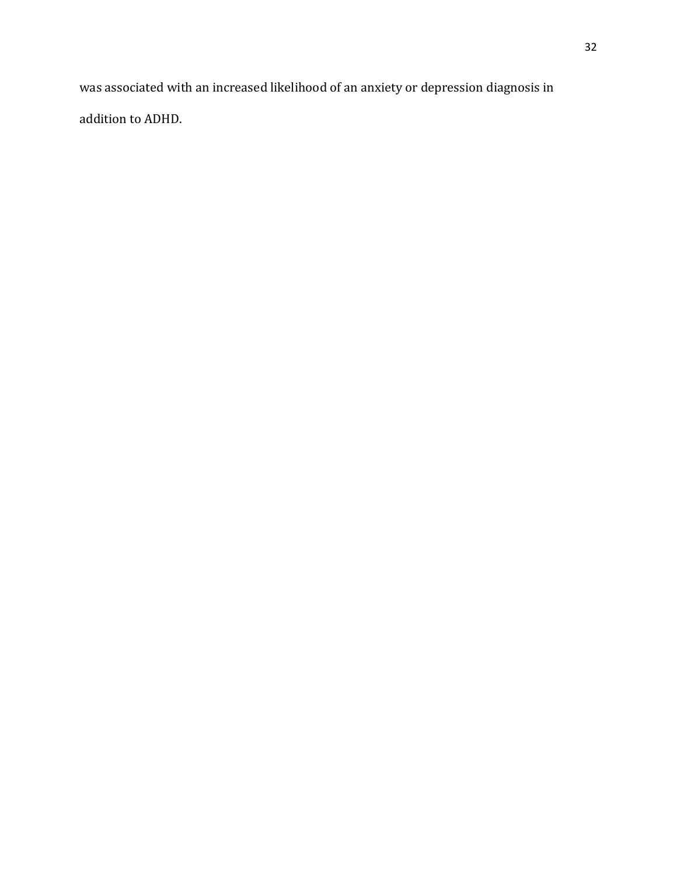was associated with an increased likelihood of an anxiety or depression diagnosis in addition to ADHD.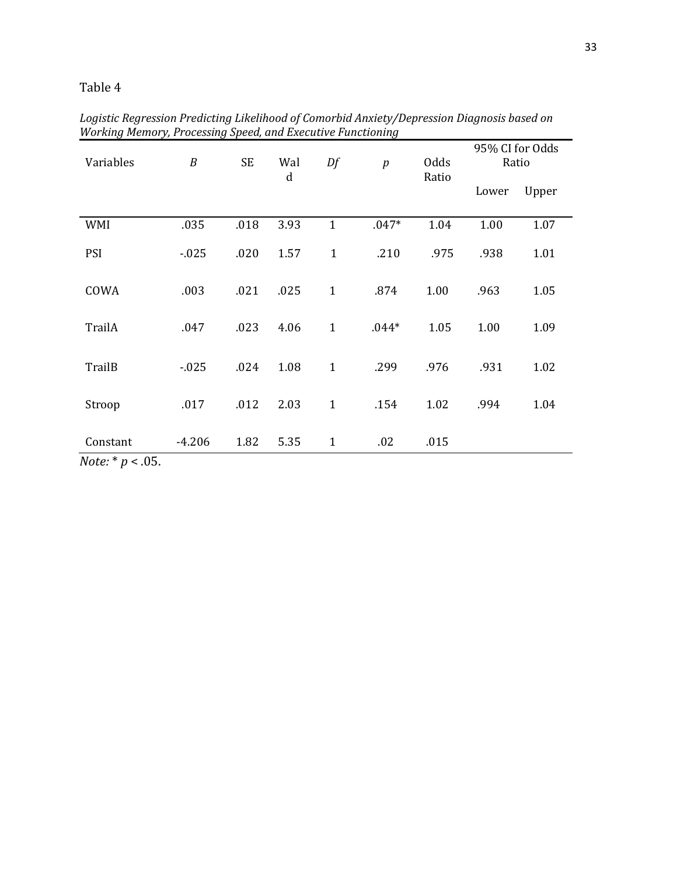## Table 4

| Variables               | $\boldsymbol{B}$ | <b>SE</b> | Wal<br>$\mathbf d$ | Df           | $\boldsymbol{p}$ | Odds  | 95% CI for Odds<br>Ratio |       |
|-------------------------|------------------|-----------|--------------------|--------------|------------------|-------|--------------------------|-------|
|                         |                  |           |                    |              |                  | Ratio | Lower                    | Upper |
| WMI                     | .035             | .018      | 3.93               | $\mathbf{1}$ | $.047*$          | 1.04  | 1.00                     | 1.07  |
| <b>PSI</b>              | $-0.025$         | .020      | 1.57               | $\mathbf{1}$ | .210             | .975  | .938                     | 1.01  |
| COWA                    | .003             | .021      | .025               | $\mathbf{1}$ | .874             | 1.00  | .963                     | 1.05  |
| TrailA                  | .047             | .023      | 4.06               | $\mathbf{1}$ | $.044*$          | 1.05  | 1.00                     | 1.09  |
| TrailB                  | $-0.025$         | .024      | 1.08               | $\mathbf{1}$ | .299             | .976  | .931                     | 1.02  |
| Stroop                  | .017             | .012      | 2.03               | $\mathbf{1}$ | .154             | 1.02  | .994                     | 1.04  |
| Constant<br><b>1999</b> | $-4.206$         | 1.82      | 5.35               | $\mathbf{1}$ | .02              | .015  |                          |       |

*Logistic Regression Predicting Likelihood of Comorbid Anxiety/Depression Diagnosis based on Working Memory, Processing Speed, and Executive Functioning*

*Note:* \* *p* < .05.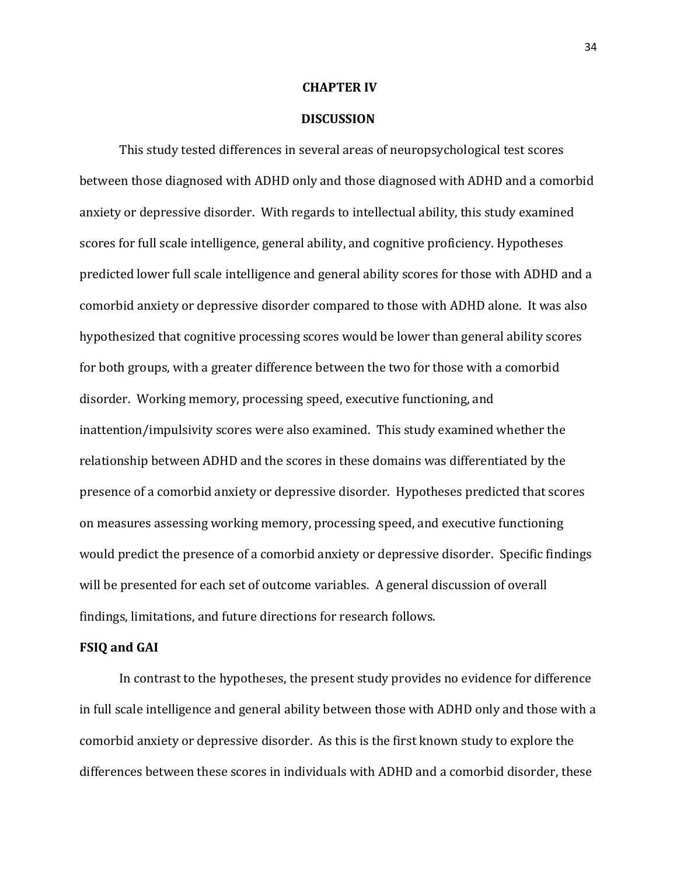#### **CHAPTER IV**

### **DISCUSSION**

This study tested differences in several areas of neuropsychological test scores between those diagnosed with ADHD only and those diagnosed with ADHD and a comorbid anxiety or depressive disorder. With regards to intellectual ability, this study examined scores for full scale intelligence, general ability, and cognitive proficiency. Hypotheses predicted lower full scale intelligence and general ability scores for those with ADHD and a comorbid anxiety or depressive disorder compared to those with ADHD alone. It was also hypothesized that cognitive processing scores would be lower than general ability scores for both groups, with a greater difference between the two for those with a comorbid disorder. Working memory, processing speed, executive functioning, and inattention/impulsivity scores were also examined. This study examined whether the relationship between ADHD and the scores in these domains was differentiated by the presence of a comorbid anxiety or depressive disorder. Hypotheses predicted that scores on measures assessing working memory, processing speed, and executive functioning would predict the presence of a comorbid anxiety or depressive disorder. Specific findings will be presented for each set of outcome variables. A general discussion of overall findings, limitations, and future directions for research follows.

### **FSIQ and GAI**

In contrast to the hypotheses, the present study provides no evidence for difference in full scale intelligence and general ability between those with ADHD only and those with a comorbid anxiety or depressive disorder. As this is the first known study to explore the differences between these scores in individuals with ADHD and a comorbid disorder, these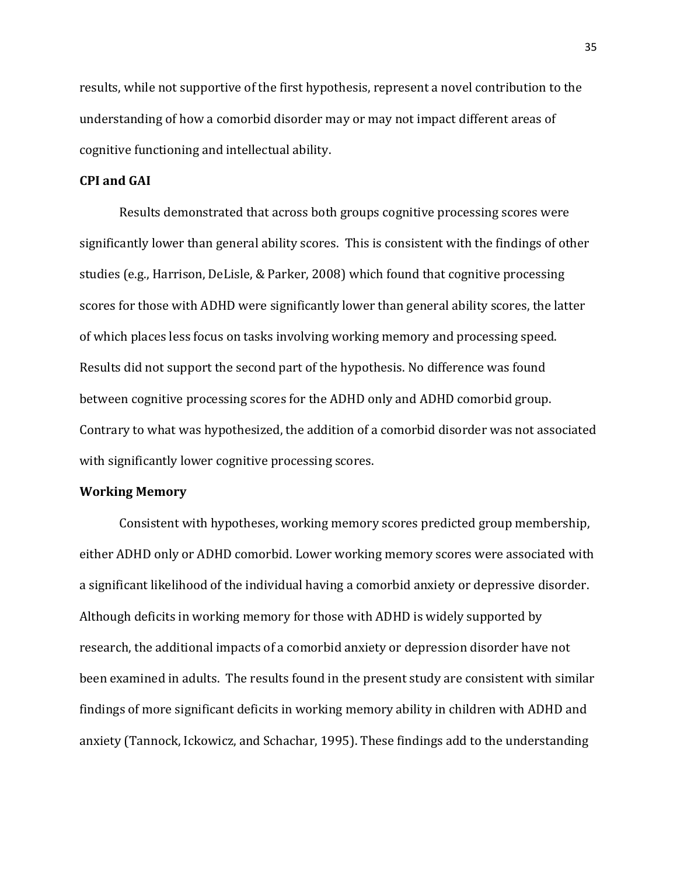results, while not supportive of the first hypothesis, represent a novel contribution to the understanding of how a comorbid disorder may or may not impact different areas of cognitive functioning and intellectual ability.

### **CPI and GAI**

Results demonstrated that across both groups cognitive processing scores were significantly lower than general ability scores. This is consistent with the findings of other studies (e.g., Harrison, DeLisle, & Parker, 2008) which found that cognitive processing scores for those with ADHD were significantly lower than general ability scores, the latter of which places less focus on tasks involving working memory and processing speed. Results did not support the second part of the hypothesis. No difference was found between cognitive processing scores for the ADHD only and ADHD comorbid group. Contrary to what was hypothesized, the addition of a comorbid disorder was not associated with significantly lower cognitive processing scores.

## **Working Memory**

Consistent with hypotheses, working memory scores predicted group membership, either ADHD only or ADHD comorbid. Lower working memory scores were associated with a significant likelihood of the individual having a comorbid anxiety or depressive disorder. Although deficits in working memory for those with ADHD is widely supported by research, the additional impacts of a comorbid anxiety or depression disorder have not been examined in adults. The results found in the present study are consistent with similar findings of more significant deficits in working memory ability in children with ADHD and anxiety (Tannock, Ickowicz, and Schachar, 1995). These findings add to the understanding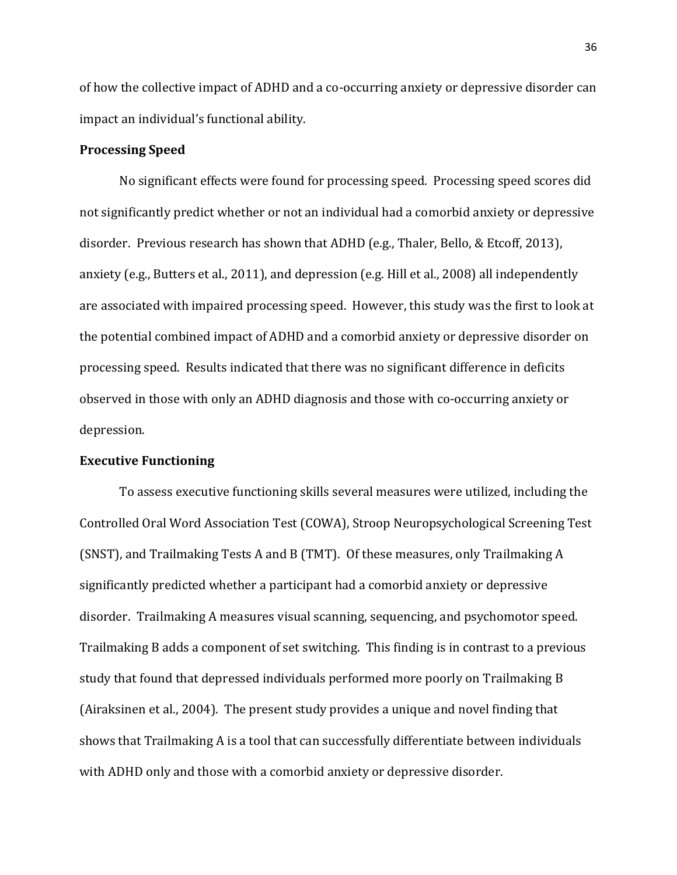of how the collective impact of ADHD and a co-occurring anxiety or depressive disorder can impact an individual's functional ability.

### **Processing Speed**

No significant effects were found for processing speed. Processing speed scores did not significantly predict whether or not an individual had a comorbid anxiety or depressive disorder. Previous research has shown that ADHD (e.g., Thaler, Bello, & Etcoff, 2013), anxiety (e.g., Butters et al., 2011), and depression (e.g. Hill et al., 2008) all independently are associated with impaired processing speed. However, this study was the first to look at the potential combined impact of ADHD and a comorbid anxiety or depressive disorder on processing speed. Results indicated that there was no significant difference in deficits observed in those with only an ADHD diagnosis and those with co-occurring anxiety or depression.

## **Executive Functioning**

To assess executive functioning skills several measures were utilized, including the Controlled Oral Word Association Test (COWA), Stroop Neuropsychological Screening Test (SNST), and Trailmaking Tests A and B (TMT). Of these measures, only Trailmaking A significantly predicted whether a participant had a comorbid anxiety or depressive disorder. Trailmaking A measures visual scanning, sequencing, and psychomotor speed. Trailmaking B adds a component of set switching. This finding is in contrast to a previous study that found that depressed individuals performed more poorly on Trailmaking B (Airaksinen et al., 2004). The present study provides a unique and novel finding that shows that Trailmaking A is a tool that can successfully differentiate between individuals with ADHD only and those with a comorbid anxiety or depressive disorder.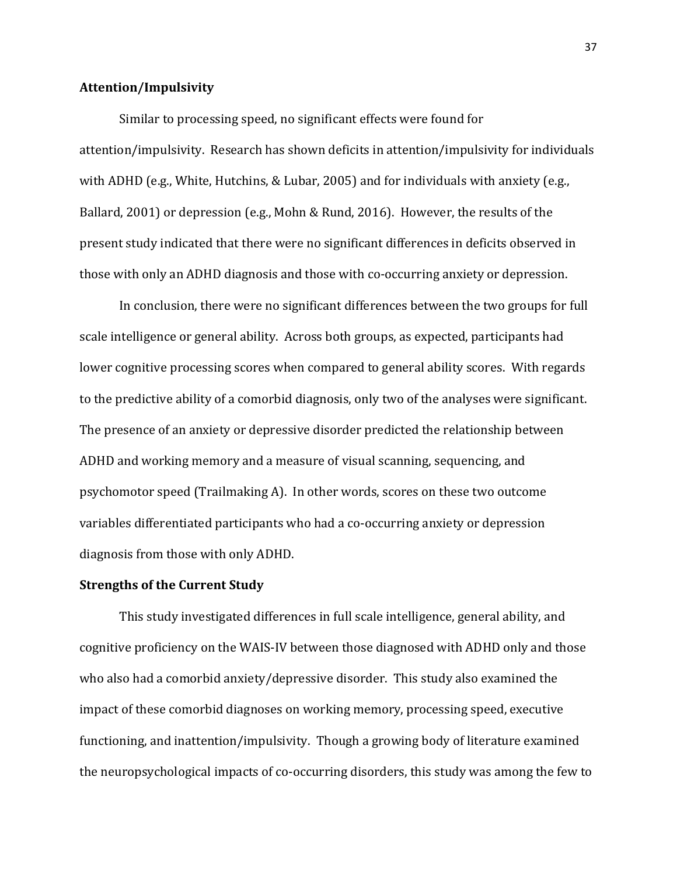### **Attention/Impulsivity**

Similar to processing speed, no significant effects were found for attention/impulsivity. Research has shown deficits in attention/impulsivity for individuals with ADHD (e.g., White, Hutchins, & Lubar, 2005) and for individuals with anxiety (e.g., Ballard, 2001) or depression (e.g., Mohn & Rund, 2016). However, the results of the present study indicated that there were no significant differences in deficits observed in those with only an ADHD diagnosis and those with co-occurring anxiety or depression.

In conclusion, there were no significant differences between the two groups for full scale intelligence or general ability. Across both groups, as expected, participants had lower cognitive processing scores when compared to general ability scores. With regards to the predictive ability of a comorbid diagnosis, only two of the analyses were significant. The presence of an anxiety or depressive disorder predicted the relationship between ADHD and working memory and a measure of visual scanning, sequencing, and psychomotor speed (Trailmaking A). In other words, scores on these two outcome variables differentiated participants who had a co-occurring anxiety or depression diagnosis from those with only ADHD.

## **Strengths of the Current Study**

This study investigated differences in full scale intelligence, general ability, and cognitive proficiency on the WAIS-IV between those diagnosed with ADHD only and those who also had a comorbid anxiety/depressive disorder. This study also examined the impact of these comorbid diagnoses on working memory, processing speed, executive functioning, and inattention/impulsivity. Though a growing body of literature examined the neuropsychological impacts of co-occurring disorders, this study was among the few to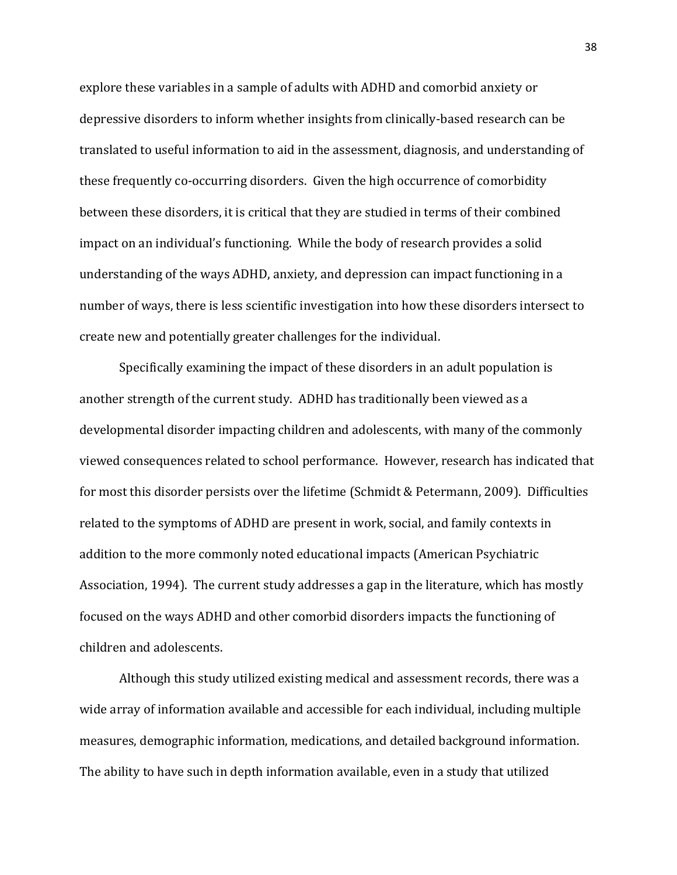explore these variables in a sample of adults with ADHD and comorbid anxiety or depressive disorders to inform whether insights from clinically-based research can be translated to useful information to aid in the assessment, diagnosis, and understanding of these frequently co-occurring disorders. Given the high occurrence of comorbidity between these disorders, it is critical that they are studied in terms of their combined impact on an individual's functioning. While the body of research provides a solid understanding of the ways ADHD, anxiety, and depression can impact functioning in a number of ways, there is less scientific investigation into how these disorders intersect to create new and potentially greater challenges for the individual.

Specifically examining the impact of these disorders in an adult population is another strength of the current study. ADHD has traditionally been viewed as a developmental disorder impacting children and adolescents, with many of the commonly viewed consequences related to school performance. However, research has indicated that for most this disorder persists over the lifetime (Schmidt & Petermann, 2009). Difficulties related to the symptoms of ADHD are present in work, social, and family contexts in addition to the more commonly noted educational impacts (American Psychiatric Association, 1994). The current study addresses a gap in the literature, which has mostly focused on the ways ADHD and other comorbid disorders impacts the functioning of children and adolescents.

Although this study utilized existing medical and assessment records, there was a wide array of information available and accessible for each individual, including multiple measures, demographic information, medications, and detailed background information. The ability to have such in depth information available, even in a study that utilized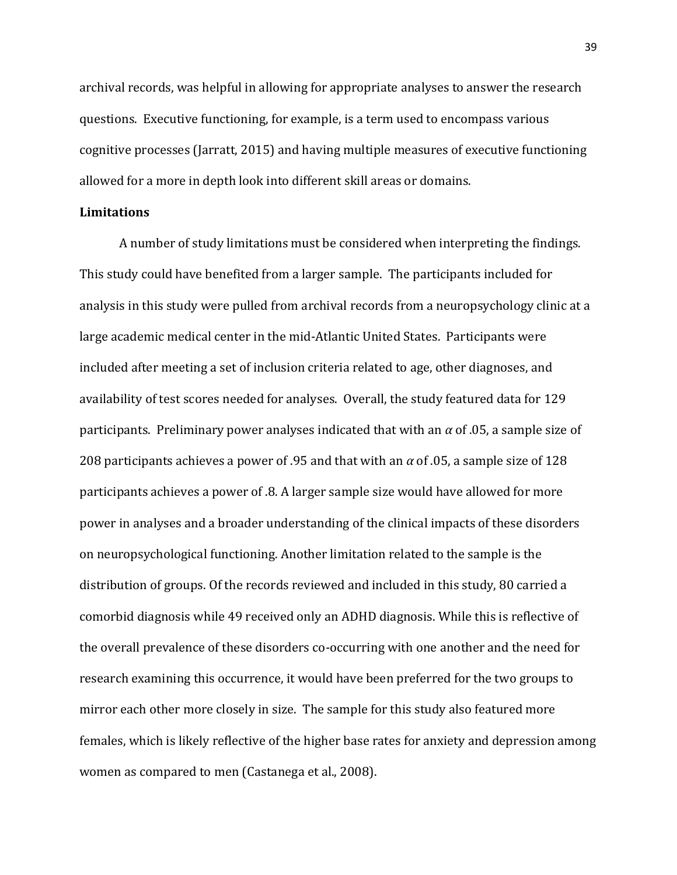archival records, was helpful in allowing for appropriate analyses to answer the research questions. Executive functioning, for example, is a term used to encompass various cognitive processes (Jarratt, 2015) and having multiple measures of executive functioning allowed for a more in depth look into different skill areas or domains.

### **Limitations**

A number of study limitations must be considered when interpreting the findings. This study could have benefited from a larger sample. The participants included for analysis in this study were pulled from archival records from a neuropsychology clinic at a large academic medical center in the mid-Atlantic United States. Participants were included after meeting a set of inclusion criteria related to age, other diagnoses, and availability of test scores needed for analyses. Overall, the study featured data for 129 participants. Preliminary power analyses indicated that with an *α* of .05, a sample size of 208 participants achieves a power of .95 and that with an *α* of .05, a sample size of 128 participants achieves a power of .8. A larger sample size would have allowed for more power in analyses and a broader understanding of the clinical impacts of these disorders on neuropsychological functioning. Another limitation related to the sample is the distribution of groups. Of the records reviewed and included in this study, 80 carried a comorbid diagnosis while 49 received only an ADHD diagnosis. While this is reflective of the overall prevalence of these disorders co-occurring with one another and the need for research examining this occurrence, it would have been preferred for the two groups to mirror each other more closely in size. The sample for this study also featured more females, which is likely reflective of the higher base rates for anxiety and depression among women as compared to men (Castanega et al., 2008).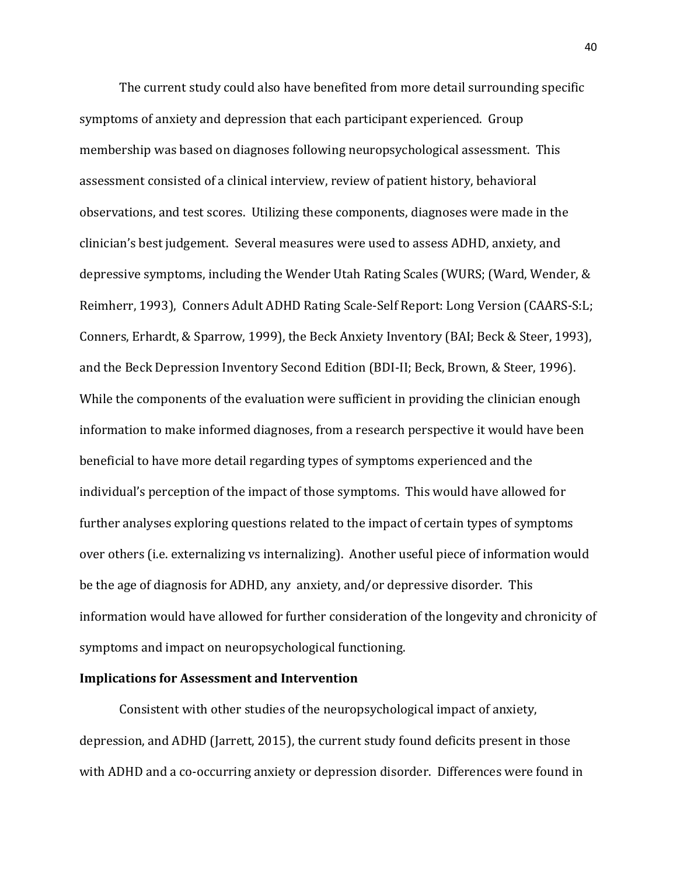The current study could also have benefited from more detail surrounding specific symptoms of anxiety and depression that each participant experienced. Group membership was based on diagnoses following neuropsychological assessment. This assessment consisted of a clinical interview, review of patient history, behavioral observations, and test scores. Utilizing these components, diagnoses were made in the clinician's best judgement. Several measures were used to assess ADHD, anxiety, and depressive symptoms, including the Wender Utah Rating Scales (WURS; (Ward, Wender, & Reimherr, 1993), Conners Adult ADHD Rating Scale-Self Report: Long Version (CAARS-S:L; Conners, Erhardt, & Sparrow, 1999), the Beck Anxiety Inventory (BAI; Beck & Steer, 1993), and the Beck Depression Inventory Second Edition (BDI-II; Beck, Brown, & Steer, 1996). While the components of the evaluation were sufficient in providing the clinician enough information to make informed diagnoses, from a research perspective it would have been beneficial to have more detail regarding types of symptoms experienced and the individual's perception of the impact of those symptoms. This would have allowed for further analyses exploring questions related to the impact of certain types of symptoms over others (i.e. externalizing vs internalizing). Another useful piece of information would be the age of diagnosis for ADHD, any anxiety, and/or depressive disorder. This information would have allowed for further consideration of the longevity and chronicity of symptoms and impact on neuropsychological functioning.

### **Implications for Assessment and Intervention**

Consistent with other studies of the neuropsychological impact of anxiety, depression, and ADHD (Jarrett, 2015), the current study found deficits present in those with ADHD and a co-occurring anxiety or depression disorder. Differences were found in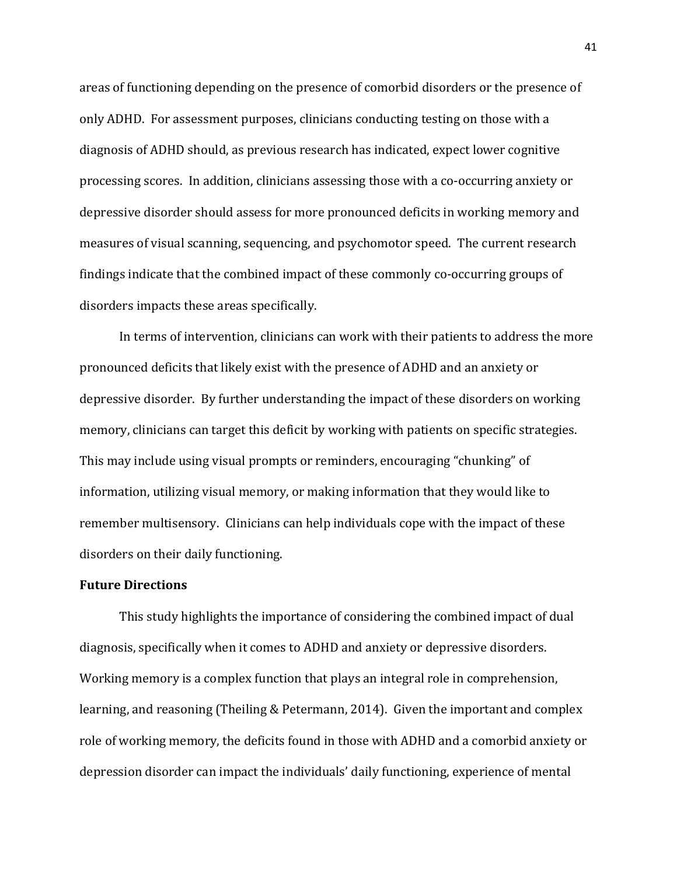areas of functioning depending on the presence of comorbid disorders or the presence of only ADHD. For assessment purposes, clinicians conducting testing on those with a diagnosis of ADHD should, as previous research has indicated, expect lower cognitive processing scores. In addition, clinicians assessing those with a co-occurring anxiety or depressive disorder should assess for more pronounced deficits in working memory and measures of visual scanning, sequencing, and psychomotor speed. The current research findings indicate that the combined impact of these commonly co-occurring groups of disorders impacts these areas specifically.

In terms of intervention, clinicians can work with their patients to address the more pronounced deficits that likely exist with the presence of ADHD and an anxiety or depressive disorder. By further understanding the impact of these disorders on working memory, clinicians can target this deficit by working with patients on specific strategies. This may include using visual prompts or reminders, encouraging "chunking" of information, utilizing visual memory, or making information that they would like to remember multisensory. Clinicians can help individuals cope with the impact of these disorders on their daily functioning.

## **Future Directions**

This study highlights the importance of considering the combined impact of dual diagnosis, specifically when it comes to ADHD and anxiety or depressive disorders. Working memory is a complex function that plays an integral role in comprehension, learning, and reasoning (Theiling & Petermann, 2014). Given the important and complex role of working memory, the deficits found in those with ADHD and a comorbid anxiety or depression disorder can impact the individuals' daily functioning, experience of mental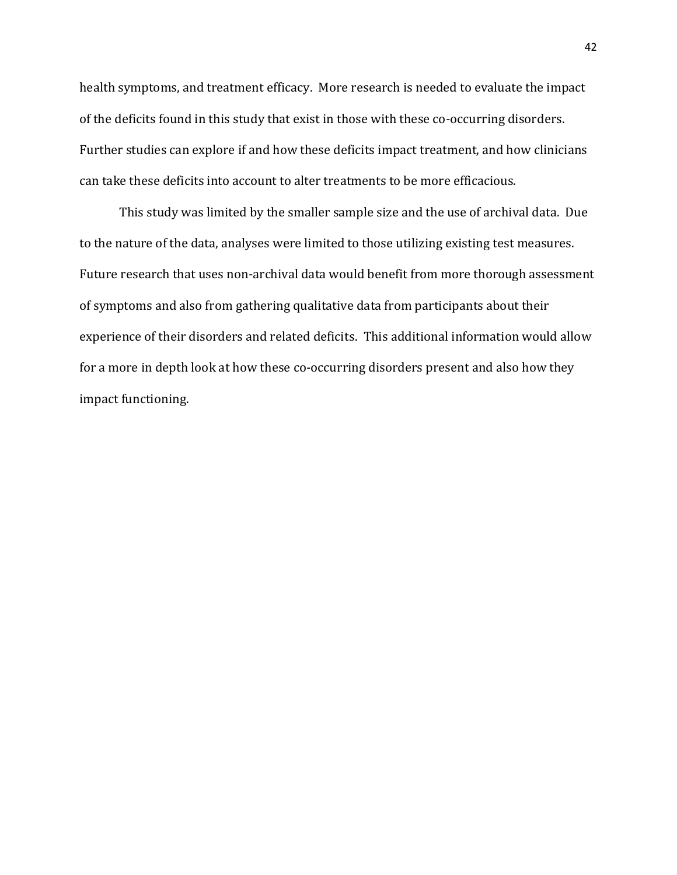health symptoms, and treatment efficacy. More research is needed to evaluate the impact of the deficits found in this study that exist in those with these co-occurring disorders. Further studies can explore if and how these deficits impact treatment, and how clinicians can take these deficits into account to alter treatments to be more efficacious.

This study was limited by the smaller sample size and the use of archival data. Due to the nature of the data, analyses were limited to those utilizing existing test measures. Future research that uses non-archival data would benefit from more thorough assessment of symptoms and also from gathering qualitative data from participants about their experience of their disorders and related deficits. This additional information would allow for a more in depth look at how these co-occurring disorders present and also how they impact functioning.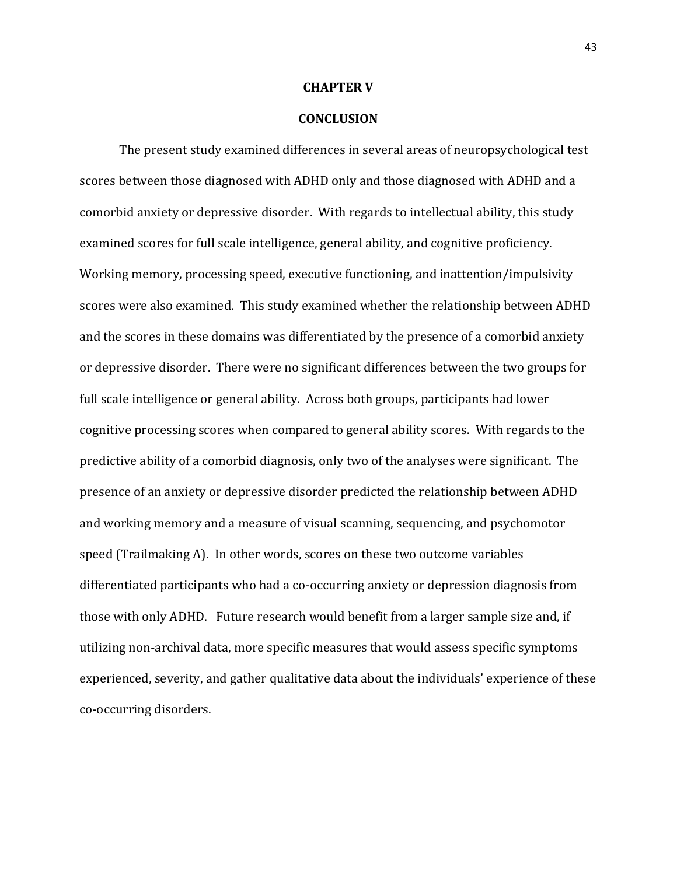#### **CHAPTER V**

### **CONCLUSION**

The present study examined differences in several areas of neuropsychological test scores between those diagnosed with ADHD only and those diagnosed with ADHD and a comorbid anxiety or depressive disorder. With regards to intellectual ability, this study examined scores for full scale intelligence, general ability, and cognitive proficiency. Working memory, processing speed, executive functioning, and inattention/impulsivity scores were also examined. This study examined whether the relationship between ADHD and the scores in these domains was differentiated by the presence of a comorbid anxiety or depressive disorder. There were no significant differences between the two groups for full scale intelligence or general ability. Across both groups, participants had lower cognitive processing scores when compared to general ability scores. With regards to the predictive ability of a comorbid diagnosis, only two of the analyses were significant. The presence of an anxiety or depressive disorder predicted the relationship between ADHD and working memory and a measure of visual scanning, sequencing, and psychomotor speed (Trailmaking A). In other words, scores on these two outcome variables differentiated participants who had a co-occurring anxiety or depression diagnosis from those with only ADHD. Future research would benefit from a larger sample size and, if utilizing non-archival data, more specific measures that would assess specific symptoms experienced, severity, and gather qualitative data about the individuals' experience of these co-occurring disorders.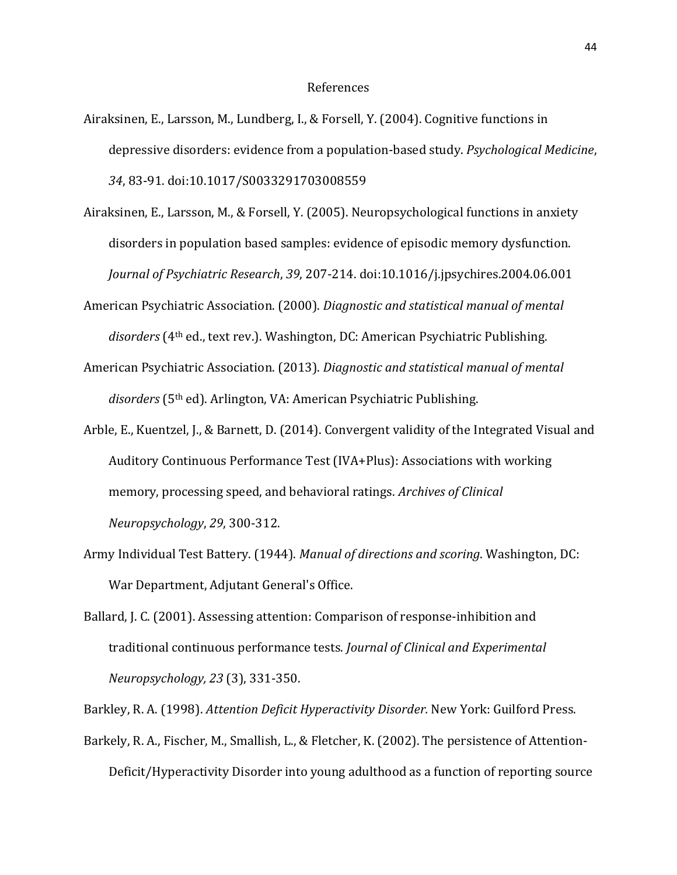- Airaksinen, E., Larsson, M., Lundberg, I., & Forsell, Y. (2004). Cognitive functions in depressive disorders: evidence from a population-based study. *Psychological Medicine*, *34*, 83-91. doi:10.1017/S0033291703008559
- Airaksinen, E., Larsson, M., & Forsell, Y. (2005). Neuropsychological functions in anxiety disorders in population based samples: evidence of episodic memory dysfunction. *Journal of Psychiatric Research*, *39*, 207-214. doi:10.1016/j.jpsychires.2004.06.001
- American Psychiatric Association. (2000). *Diagnostic and statistical manual of mental disorders* (4th ed., text rev.). Washington, DC: American Psychiatric Publishing.
- American Psychiatric Association. (2013). *Diagnostic and statistical manual of mental disorders* (5th ed). Arlington, VA: American Psychiatric Publishing.
- Arble, E., Kuentzel, J., & Barnett, D. (2014). Convergent validity of the Integrated Visual and Auditory Continuous Performance Test (IVA+Plus): Associations with working memory, processing speed, and behavioral ratings. *Archives of Clinical Neuropsychology*, *29*, 300-312.
- Army Individual Test Battery. (1944). *Manual of directions and scoring*. Washington, DC: War Department, Adjutant General's Office.
- Ballard, J. C. (2001). Assessing attention: Comparison of response-inhibition and traditional continuous performance tests. *Journal of Clinical and Experimental Neuropsychology, 23* (3), 331-350.

Barkley, R. A. (1998). *Attention Deficit Hyperactivity Disorder.* New York: Guilford Press.

Barkely, R. A., Fischer, M., Smallish, L., & Fletcher, K. (2002). The persistence of Attention-Deficit/Hyperactivity Disorder into young adulthood as a function of reporting source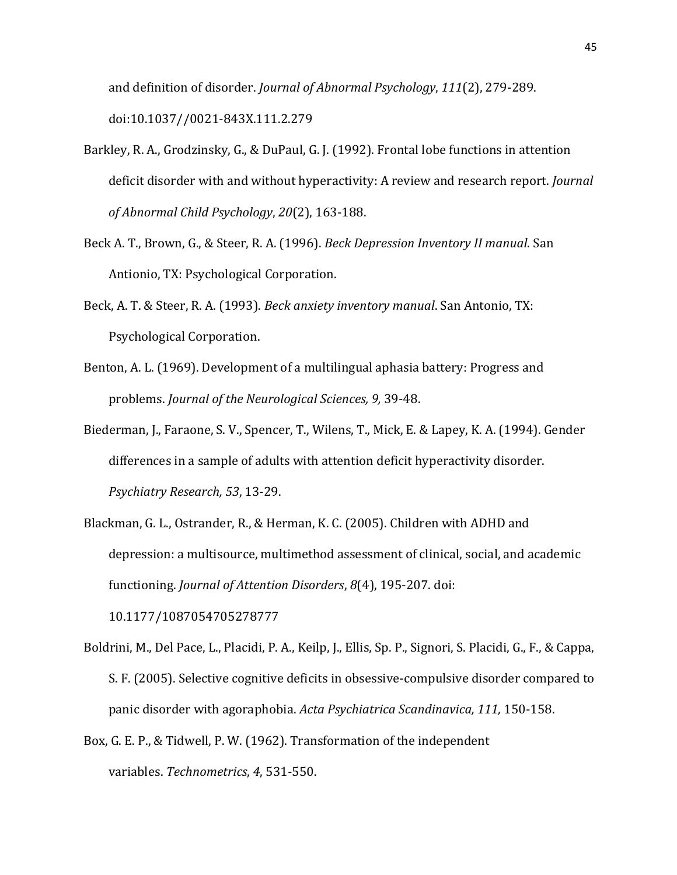and definition of disorder. *Journal of Abnormal Psychology*, *111*(2), 279-289. doi:10.1037//0021-843X.111.2.279

- Barkley, R. A., Grodzinsky, G., & DuPaul, G. J. (1992). Frontal lobe functions in attention deficit disorder with and without hyperactivity: A review and research report. *Journal of Abnormal Child Psychology*, *20*(2), 163-188.
- Beck A. T., Brown, G., & Steer, R. A. (1996). *Beck Depression Inventory II manual*. San Antionio, TX: Psychological Corporation.
- Beck, A. T. & Steer, R. A. (1993). *Beck anxiety inventory manual*. San Antonio, TX: Psychological Corporation.
- Benton, A. L. (1969). Development of a multilingual aphasia battery: Progress and problems. *Journal of the Neurological Sciences, 9,* 39-48.
- Biederman, J., Faraone, S. V., Spencer, T., Wilens, T., Mick, E. & Lapey, K. A. (1994). Gender differences in a sample of adults with attention deficit hyperactivity disorder. *Psychiatry Research, 53*, 13-29.
- Blackman, G. L., Ostrander, R., & Herman, K. C. (2005). Children with ADHD and depression: a multisource, multimethod assessment of clinical, social, and academic functioning. *Journal of Attention Disorders*, *8*(4), 195-207. doi: 10.1177/1087054705278777
- Boldrini, M., Del Pace, L., Placidi, P. A., Keilp, J., Ellis, Sp. P., Signori, S. Placidi, G., F., & Cappa, S. F. (2005). Selective cognitive deficits in obsessive-compulsive disorder compared to panic disorder with agoraphobia. *Acta Psychiatrica Scandinavica, 111,* 150-158.
- Box, G. E. P., & Tidwell, P. W. (1962). Transformation of the independent variables. *Technometrics*, *4*, 531-550.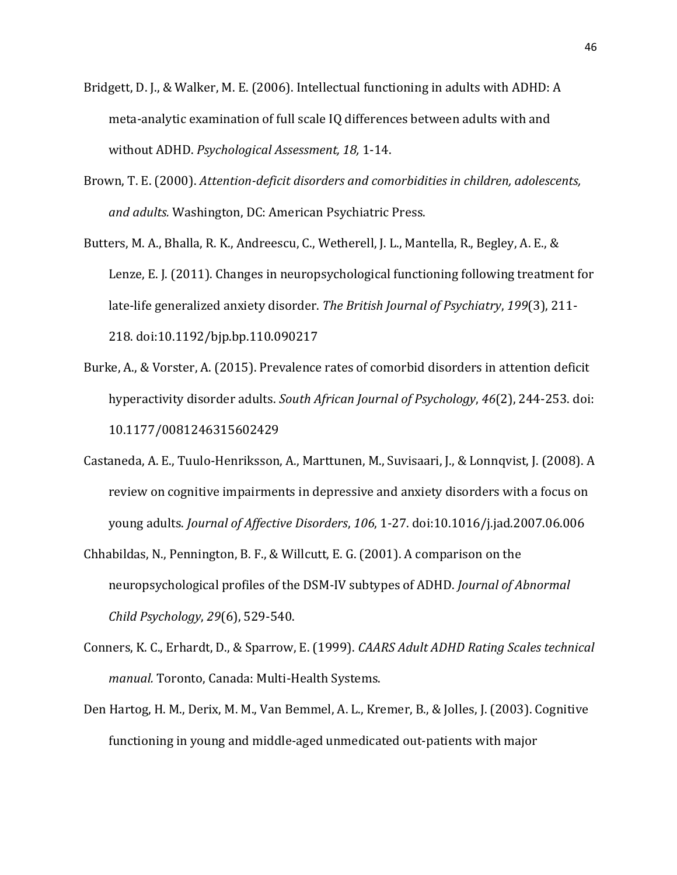- Bridgett, D. J., & Walker, M. E. (2006). Intellectual functioning in adults with ADHD: A meta-analytic examination of full scale IQ differences between adults with and without ADHD. *Psychological Assessment, 18,* 1-14.
- Brown, T. E. (2000). *Attention-deficit disorders and comorbidities in children, adolescents, and adults.* Washington, DC: American Psychiatric Press.
- Butters, M. A., Bhalla, R. K., Andreescu, C., Wetherell, J. L., Mantella, R., Begley, A. E., & Lenze, E. J. (2011). Changes in neuropsychological functioning following treatment for late-life generalized anxiety disorder. *The British Journal of Psychiatry*, *199*(3), 211- 218. doi:10.1192/bjp.bp.110.090217
- Burke, A., & Vorster, A. (2015). Prevalence rates of comorbid disorders in attention deficit hyperactivity disorder adults. *South African Journal of Psychology*, *46*(2), 244-253. doi: 10.1177/0081246315602429
- Castaneda, A. E., Tuulo-Henriksson, A., Marttunen, M., Suvisaari, J., & Lonnqvist, J. (2008). A review on cognitive impairments in depressive and anxiety disorders with a focus on young adults. *Journal of Affective Disorders*, *106*, 1-27. doi:10.1016/j.jad.2007.06.006
- Chhabildas, N., Pennington, B. F., & Willcutt, E. G. (2001). A comparison on the neuropsychological profiles of the DSM-IV subtypes of ADHD. *Journal of Abnormal Child Psychology*, *29*(6), 529-540.
- Conners, K. C., Erhardt, D., & Sparrow, E. (1999). *CAARS Adult ADHD Rating Scales technical manual.* Toronto, Canada: Multi-Health Systems.
- Den Hartog, H. M., Derix, M. M., Van Bemmel, A. L., Kremer, B., & Jolles, J. (2003). Cognitive functioning in young and middle-aged unmedicated out-patients with major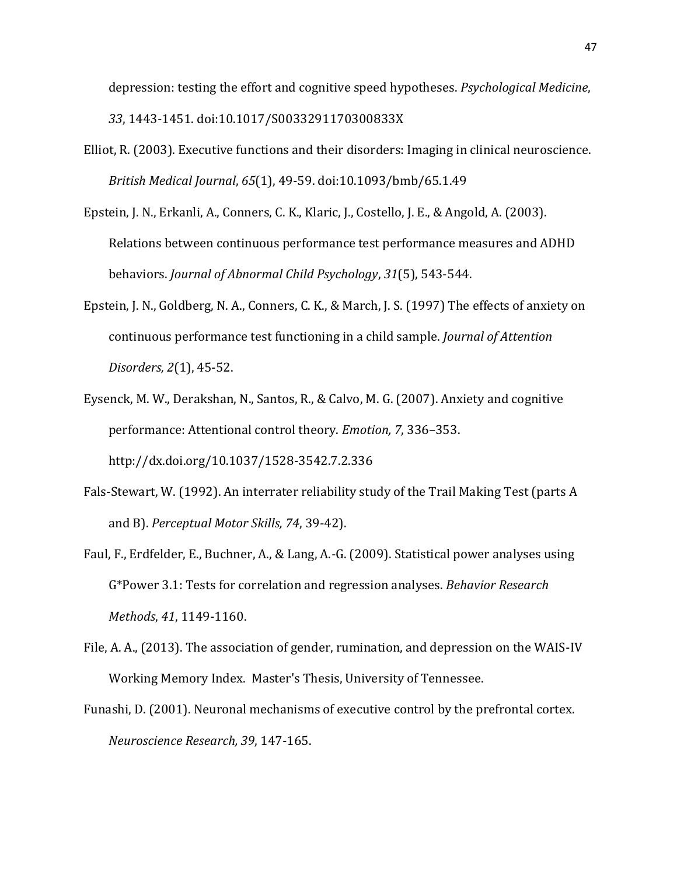depression: testing the effort and cognitive speed hypotheses. *Psychological Medicine*, *33*, 1443-1451. doi:10.1017/S0033291170300833X

- Elliot, R. (2003). Executive functions and their disorders: Imaging in clinical neuroscience. *British Medical Journal*, *65*(1), 49-59. doi:10.1093/bmb/65.1.49
- Epstein, J. N., Erkanli, A., Conners, C. K., Klaric, J., Costello, J. E., & Angold, A. (2003). Relations between continuous performance test performance measures and ADHD behaviors. *Journal of Abnormal Child Psychology*, *31*(5), 543-544.
- Epstein, J. N., Goldberg, N. A., Conners, C. K., & March, J. S. (1997) The effects of anxiety on continuous performance test functioning in a child sample. *Journal of Attention Disorders, 2*(1), 45-52.
- Eysenck, M. W., Derakshan, N., Santos, R., & Calvo, M. G. (2007). Anxiety and cognitive performance: Attentional control theory. *Emotion, 7*, 336–353. <http://dx.doi.org/10.1037/1528-3542.7.2.336>
- Fals-Stewart, W. (1992). An interrater reliability study of the Trail Making Test (parts A and B). *Perceptual Motor Skills, 74*, 39-42).
- Faul, F., Erdfelder, E., Buchner, A., & Lang, A.-G. (2009). Statistical power analyses using G\*Power 3.1: Tests for correlation and regression analyses. *Behavior Research Methods*, *41*, 1149-1160.
- File, A. A., (2013). The association of gender, rumination, and depression on the WAIS-IV Working Memory Index. Master's Thesis, University of Tennessee.
- Funashi, D. (2001). Neuronal mechanisms of executive control by the prefrontal cortex. *Neuroscience Research, 39*, 147-165.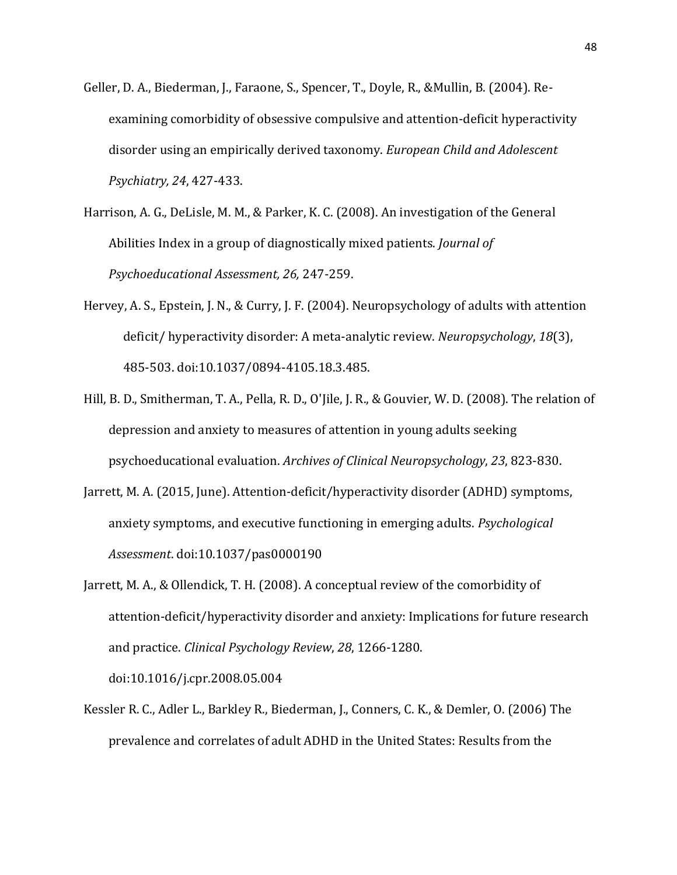- Geller, D. A., Biederman, J., Faraone, S., Spencer, T., Doyle, R., &Mullin, B. (2004). Reexamining comorbidity of obsessive compulsive and attention-deficit hyperactivity disorder using an empirically derived taxonomy. *European Child and Adolescent Psychiatry, 24*, 427-433.
- Harrison, A. G., DeLisle, M. M., & Parker, K. C. (2008). An investigation of the General Abilities Index in a group of diagnostically mixed patients. *Journal of Psychoeducational Assessment, 26,* 247-259.
- Hervey, A. S., Epstein, J. N., & Curry, J. F. (2004). Neuropsychology of adults with attention deficit/ hyperactivity disorder: A meta-analytic review. *Neuropsychology*, *18*(3), 485-503. doi:10.1037/0894-4105.18.3.485.
- Hill, B. D., Smitherman, T. A., Pella, R. D., O'Jile, J. R., & Gouvier, W. D. (2008). The relation of depression and anxiety to measures of attention in young adults seeking psychoeducational evaluation. *Archives of Clinical Neuropsychology*, *23*, 823-830.
- Jarrett, M. A. (2015, June). Attention-deficit/hyperactivity disorder (ADHD) symptoms, anxiety symptoms, and executive functioning in emerging adults. *Psychological Assessment*. doi:10.1037/pas0000190
- Jarrett, M. A., & Ollendick, T. H. (2008). A conceptual review of the comorbidity of attention-deficit/hyperactivity disorder and anxiety: Implications for future research and practice. *Clinical Psychology Review*, *28*, 1266-1280.

doi:10.1016/j.cpr.2008.05.004

Kessler R. C., Adler L., Barkley R., Biederman, J., Conners, C. K., & Demler, O. (2006) The prevalence and correlates of adult ADHD in the United States: Results from the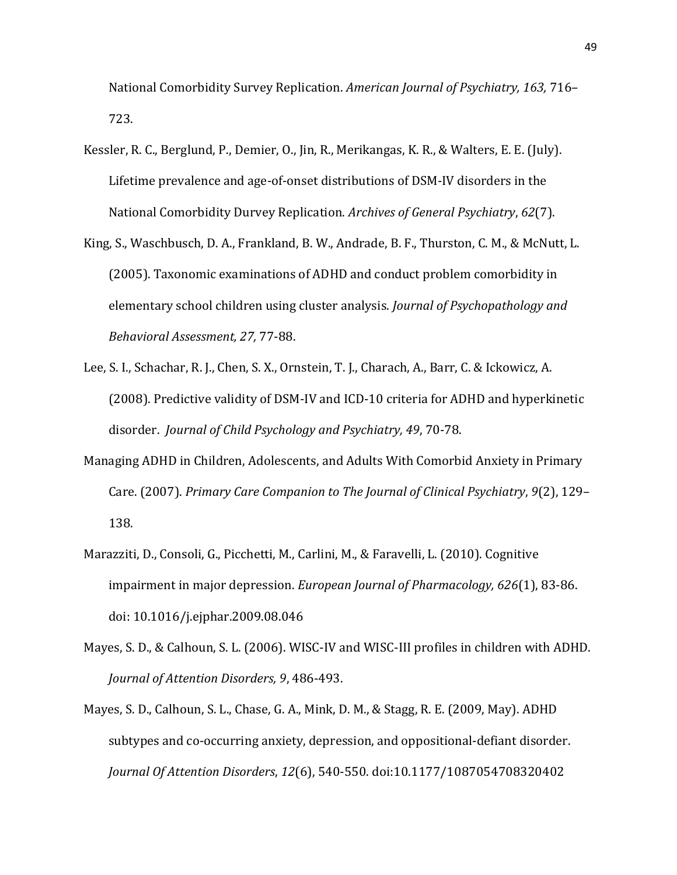National Comorbidity Survey Replication. *American Journal of Psychiatry, 163,* 716– 723.

- Kessler, R. C., Berglund, P., Demier, O., Jin, R., Merikangas, K. R., & Walters, E. E. (July). Lifetime prevalence and age-of-onset distributions of DSM-IV disorders in the National Comorbidity Durvey Replication. *Archives of General Psychiatry*, *62*(7).
- King, S., Waschbusch, D. A., Frankland, B. W., Andrade, B. F., Thurston, C. M., & McNutt, L. (2005). Taxonomic examinations of ADHD and conduct problem comorbidity in elementary school children using cluster analysis. *Journal of Psychopathology and Behavioral Assessment, 27,* 77-88.
- Lee, S. I., Schachar, R. J., Chen, S. X., Ornstein, T. J., Charach, A., Barr, C. & Ickowicz, A. (2008). Predictive validity of DSM-IV and ICD-10 criteria for ADHD and hyperkinetic disorder. *Journal of Child Psychology and Psychiatry, 49*, 70-78.
- Managing ADHD in Children, Adolescents, and Adults With Comorbid Anxiety in Primary Care. (2007). *Primary Care Companion to The Journal of Clinical Psychiatry*, *9*(2), 129– 138.
- Marazziti, D., Consoli, G., Picchetti, M., Carlini, M., & Faravelli, L. (2010). Cognitive impairment in major depression. *European Journal of Pharmacology, 626*(1), 83-86. doi: 10.1016/j.ejphar.2009.08.046
- Mayes, S. D., & Calhoun, S. L. (2006). WISC-IV and WISC-III profiles in children with ADHD. *Journal of Attention Disorders, 9*, 486-493.
- Mayes, S. D., Calhoun, S. L., Chase, G. A., Mink, D. M., & Stagg, R. E. (2009, May). ADHD subtypes and co-occurring anxiety, depression, and oppositional-defiant disorder. *Journal Of Attention Disorders*, *12*(6), 540-550. doi:10.1177/1087054708320402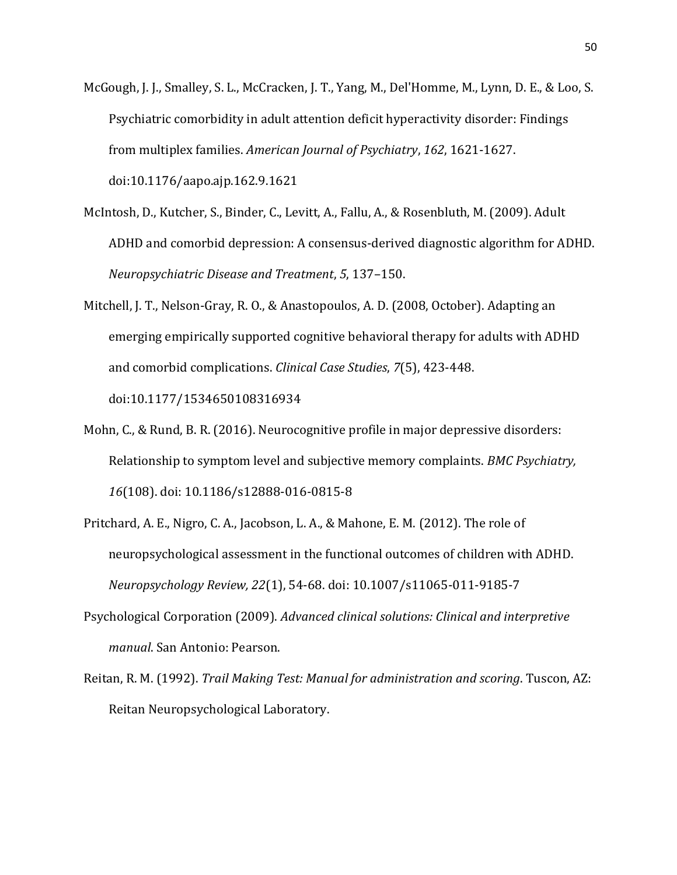- McGough, J. J., Smalley, S. L., McCracken, J. T., Yang, M., Del'Homme, M., Lynn, D. E., & Loo, S. Psychiatric comorbidity in adult attention deficit hyperactivity disorder: Findings from multiplex families. *American Journal of Psychiatry*, *162*, 1621-1627. doi:10.1176/aapo.ajp.162.9.1621
- McIntosh, D., Kutcher, S., Binder, C., Levitt, A., Fallu, A., & Rosenbluth, M. (2009). Adult ADHD and comorbid depression: A consensus-derived diagnostic algorithm for ADHD. *Neuropsychiatric Disease and Treatment*, *5*, 137–150.
- Mitchell, J. T., Nelson-Gray, R. O., & Anastopoulos, A. D. (2008, October). Adapting an emerging empirically supported cognitive behavioral therapy for adults with ADHD and comorbid complications. *Clinical Case Studies*, *7*(5), 423-448. doi:10.1177/1534650108316934
- Mohn, C., & Rund, B. R. (2016). Neurocognitive profile in major depressive disorders: Relationship to symptom level and subjective memory complaints. *BMC Psychiatry, 16*(108). doi: 10.1186/s12888-016-0815-8
- Pritchard, A. E., Nigro, C. A., Jacobson, L. A., & Mahone, E. M. (2012). The role of neuropsychological assessment in the functional outcomes of children with ADHD. *Neuropsychology Review, 22*(1), 54-68. doi: 10.1007/s11065-011-9185-7
- Psychological Corporation (2009). *Advanced clinical solutions: Clinical and interpretive manual*. San Antonio: Pearson.
- Reitan, R. M. (1992). *Trail Making Test: Manual for administration and scoring*. Tuscon, AZ: Reitan Neuropsychological Laboratory.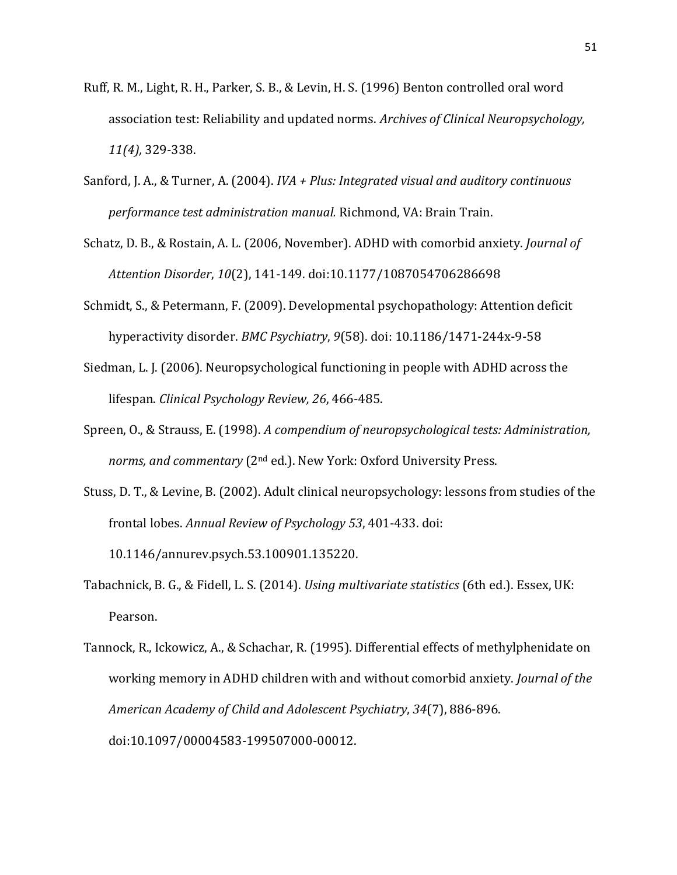- Ruff, R. M., Light, R. H., Parker, S. B., & Levin, H. S. (1996) Benton controlled oral word association test: Reliability and updated norms. *Archives of Clinical Neuropsychology, 11(4),* 329-338.
- Sanford, J. A., & Turner, A. (2004). *IVA + Plus: Integrated visual and auditory continuous performance test administration manual.* Richmond, VA: Brain Train.
- Schatz, D. B., & Rostain, A. L. (2006, November). ADHD with comorbid anxiety. *Journal of Attention Disorder*, *10*(2), 141-149. doi:10.1177/1087054706286698
- Schmidt, S., & Petermann, F. (2009). Developmental psychopathology: Attention deficit hyperactivity disorder. *BMC Psychiatry*, *9*(58). doi: 10.1186/1471-244x-9-58
- Siedman, L. J. (2006). Neuropsychological functioning in people with ADHD across the lifespan. *Clinical Psychology Review, 26*, 466-485.
- Spreen, O., & Strauss, E. (1998). *A compendium of neuropsychological tests: Administration, norms, and commentary* (2nd ed.). New York: Oxford University Press.
- Stuss, D. T., & Levine, B. (2002). Adult clinical neuropsychology: lessons from studies of the frontal lobes. *Annual Review of Psychology 53*, 401-433. doi: 10.1146/annurev.psych.53.100901.135220.
- Tabachnick, B. G., & Fidell, L. S. (2014). *Using multivariate statistics* (6th ed.). Essex, UK: Pearson.
- Tannock, R., Ickowicz, A., & Schachar, R. (1995). Differential effects of methylphenidate on working memory in ADHD children with and without comorbid anxiety. *Journal of the American Academy of Child and Adolescent Psychiatry*, *34*(7), 886-896. doi:10.1097/00004583-199507000-00012.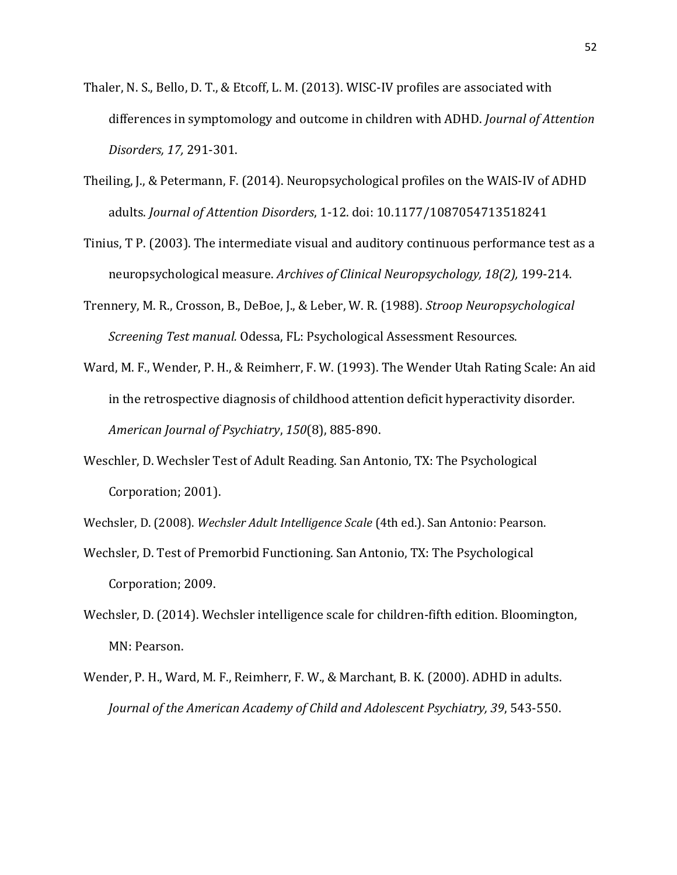- Thaler, N. S., Bello, D. T., & Etcoff, L. M. (2013). WISC-IV profiles are associated with differences in symptomology and outcome in children with ADHD. *Journal of Attention Disorders, 17,* 291-301.
- Theiling, J., & Petermann, F. (2014). Neuropsychological profiles on the WAIS-IV of ADHD adults. *Journal of Attention Disorders*, 1-12. doi: 10.1177/1087054713518241
- Tinius, T P. (2003). The intermediate visual and auditory continuous performance test as a neuropsychological measure. *Archives of Clinical Neuropsychology, 18(2),* 199-214.
- Trennery, M. R., Crosson, B., DeBoe, J., & Leber, W. R. (1988). *Stroop Neuropsychological Screening Test manual.* Odessa, FL: Psychological Assessment Resources.
- Ward, M. F., Wender, P. H., & Reimherr, F. W. (1993). The Wender Utah Rating Scale: An aid in the retrospective diagnosis of childhood attention deficit hyperactivity disorder. *American Journal of Psychiatry*, *150*(8), 885-890.
- Weschler, D. Wechsler Test of Adult Reading. San Antonio, TX: The Psychological Corporation; 2001).
- Wechsler, D. (2008). *Wechsler Adult Intelligence Scale* (4th ed.). San Antonio: Pearson.
- Wechsler, D. Test of Premorbid Functioning. San Antonio, TX: The Psychological Corporation; 2009.
- Wechsler, D. (2014). Wechsler intelligence scale for children-fifth edition. Bloomington, MN: Pearson.
- Wender, P. H., Ward, M. F., Reimherr, F. W., & Marchant, B. K. (2000). ADHD in adults. *Journal of the American Academy of Child and Adolescent Psychiatry, 39*, 543-550.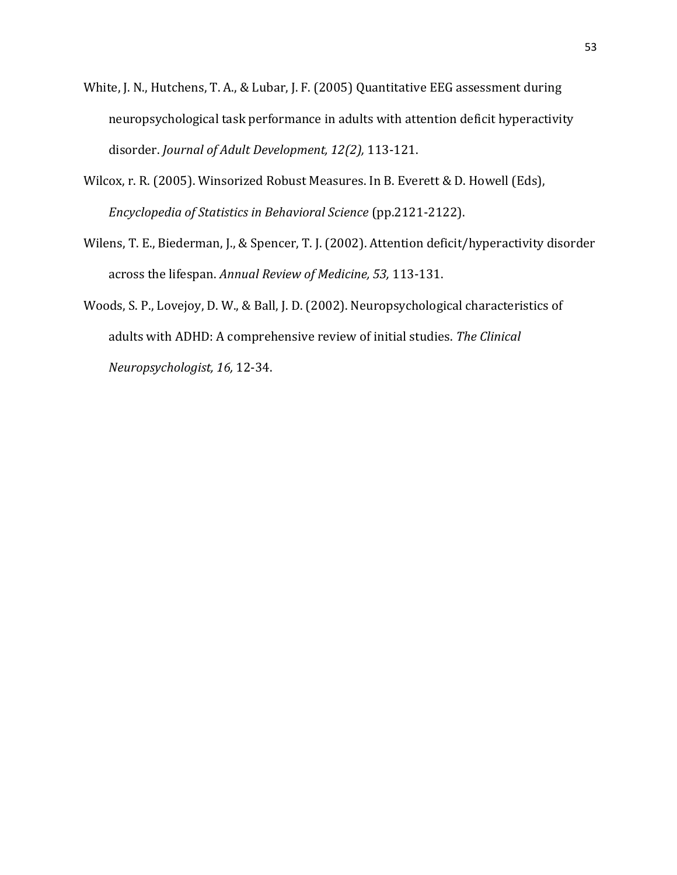- White, J. N., Hutchens, T. A., & Lubar, J. F. (2005) Quantitative EEG assessment during neuropsychological task performance in adults with attention deficit hyperactivity disorder. *Journal of Adult Development, 12(2),* 113-121.
- Wilcox, r. R. (2005). Winsorized Robust Measures. In B. Everett & D. Howell (Eds), *Encyclopedia of Statistics in Behavioral Science* (pp.2121-2122).
- Wilens, T. E., Biederman, J., & Spencer, T. J. (2002). Attention deficit/hyperactivity disorder across the lifespan. *Annual Review of Medicine, 53,* 113-131.
- Woods, S. P., Lovejoy, D. W., & Ball, J. D. (2002). Neuropsychological characteristics of adults with ADHD: A comprehensive review of initial studies. *The Clinical Neuropsychologist, 16,* 12-34.